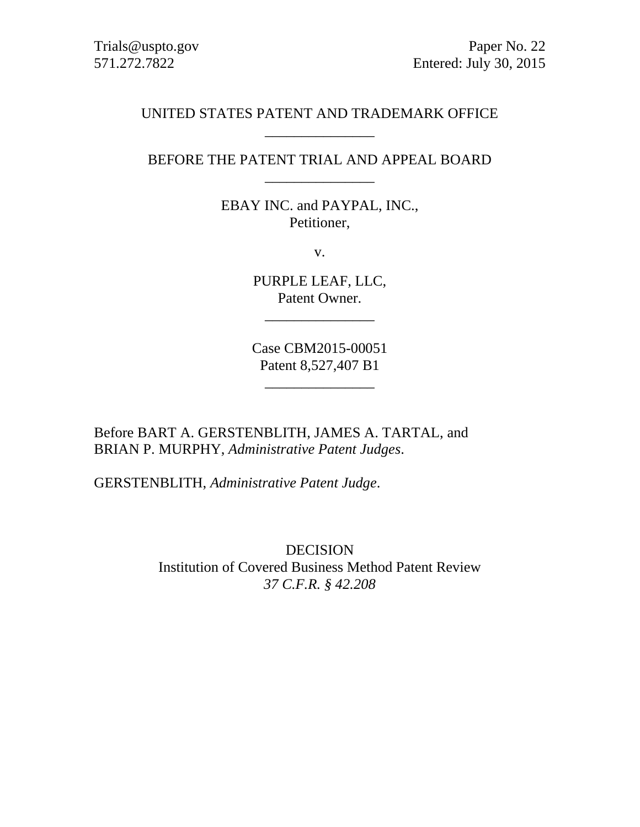# UNITED STATES PATENT AND TRADEMARK OFFICE \_\_\_\_\_\_\_\_\_\_\_\_\_\_\_

# BEFORE THE PATENT TRIAL AND APPEAL BOARD \_\_\_\_\_\_\_\_\_\_\_\_\_\_\_

EBAY INC. and PAYPAL, INC., Petitioner,

v.

PURPLE LEAF, LLC, Patent Owner.

\_\_\_\_\_\_\_\_\_\_\_\_\_\_\_

Case CBM2015-00051 Patent 8,527,407 B1

 $\overline{\phantom{a}}$  , where  $\overline{\phantom{a}}$ 

Before BART A. GERSTENBLITH, JAMES A. TARTAL, and BRIAN P. MURPHY, *Administrative Patent Judges*.

GERSTENBLITH, *Administrative Patent Judge*.

DECISION Institution of Covered Business Method Patent Review *37 C.F.R. § 42.208*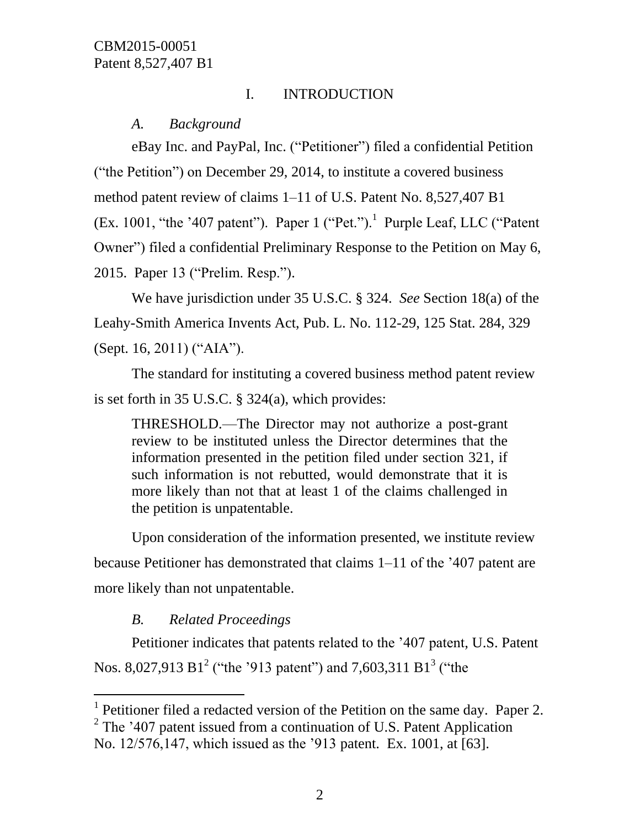# I. INTRODUCTION

*A. Background*

eBay Inc. and PayPal, Inc. ("Petitioner") filed a confidential Petition ("the Petition") on December 29, 2014, to institute a covered business method patent review of claims 1–11 of U.S. Patent No. 8,527,407 B1 (Ex. 1001, "the '407 patent"). Paper  $1$  ("Pet.").<sup>1</sup> Purple Leaf, LLC ("Patent" Owner") filed a confidential Preliminary Response to the Petition on May 6, 2015. Paper 13 ("Prelim. Resp.").

We have jurisdiction under 35 U.S.C. § 324. *See* Section 18(a) of the Leahy-Smith America Invents Act, Pub. L. No. 112-29, 125 Stat. 284, 329 (Sept. 16, 2011) ("AIA").

The standard for instituting a covered business method patent review is set forth in 35 U.S.C. § 324(a), which provides:

THRESHOLD.—The Director may not authorize a post-grant review to be instituted unless the Director determines that the information presented in the petition filed under section 321, if such information is not rebutted, would demonstrate that it is more likely than not that at least 1 of the claims challenged in the petition is unpatentable.

Upon consideration of the information presented, we institute review because Petitioner has demonstrated that claims 1–11 of the '407 patent are more likely than not unpatentable.

# *B. Related Proceedings*

l

Petitioner indicates that patents related to the '407 patent, U.S. Patent Nos. 8,027,913 B1<sup>2</sup> ("the '913 patent") and 7,603,311 B1<sup>3</sup> ("the

<sup>&</sup>lt;sup>1</sup> Petitioner filed a redacted version of the Petition on the same day. Paper 2.

<sup>&</sup>lt;sup>2</sup> The '407 patent issued from a continuation of U.S. Patent Application No. 12/576,147, which issued as the '913 patent. Ex. 1001, at [63].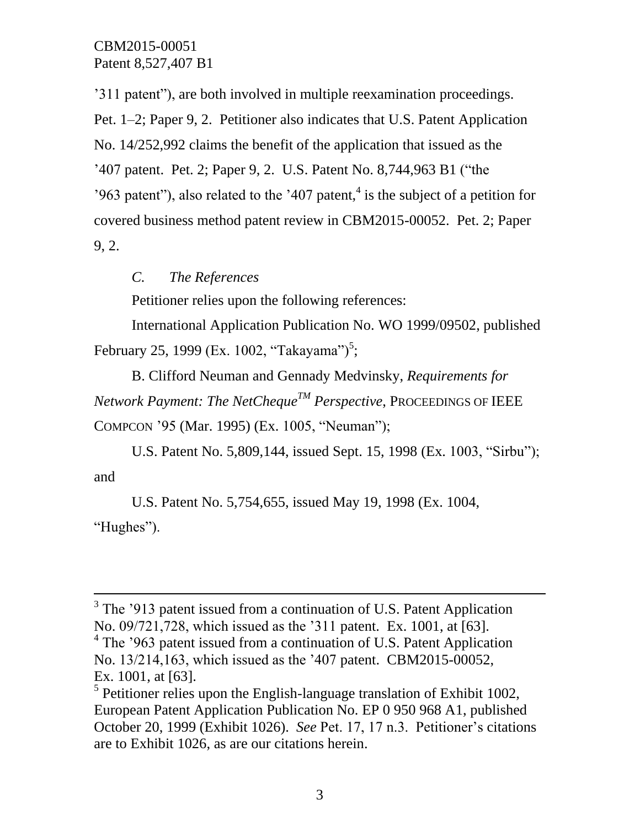'311 patent"), are both involved in multiple reexamination proceedings. Pet. 1–2; Paper 9, 2. Petitioner also indicates that U.S. Patent Application No. 14/252,992 claims the benefit of the application that issued as the '407 patent. Pet. 2; Paper 9, 2. U.S. Patent No. 8,744,963 B1 ("the '963 patent''), also related to the '407 patent, $4$  is the subject of a petition for covered business method patent review in CBM2015-00052. Pet. 2; Paper 9, 2.

*C. The References*

 $\overline{a}$ 

Petitioner relies upon the following references:

International Application Publication No. WO 1999/09502, published February 25, 1999 (Ex. 1002, "Takayama")<sup>5</sup>;

B. Clifford Neuman and Gennady Medvinsky, *Requirements for Network Payment: The NetChequeTM Perspective*, PROCEEDINGS OF IEEE COMPCON '95 (Mar. 1995) (Ex. 1005, "Neuman");

U.S. Patent No. 5,809,144, issued Sept. 15, 1998 (Ex. 1003, "Sirbu"); and

U.S. Patent No. 5,754,655, issued May 19, 1998 (Ex. 1004, "Hughes").

<sup>&</sup>lt;sup>3</sup> The '913 patent issued from a continuation of U.S. Patent Application No. 09/721,728, which issued as the '311 patent. Ex. 1001, at [63]. <sup>4</sup> The '963 patent issued from a continuation of U.S. Patent Application No. 13/214,163, which issued as the '407 patent. CBM2015-00052, Ex. 1001, at [63].

 $<sup>5</sup>$  Petitioner relies upon the English-language translation of Exhibit 1002,</sup> European Patent Application Publication No. EP 0 950 968 A1, published October 20, 1999 (Exhibit 1026). *See* Pet. 17, 17 n.3. Petitioner's citations are to Exhibit 1026, as are our citations herein.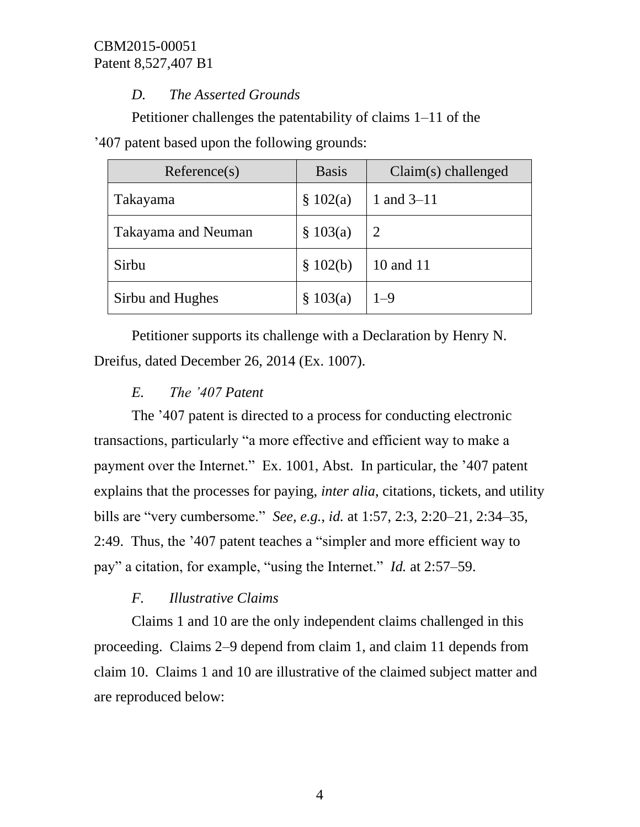# *D. The Asserted Grounds*

Petitioner challenges the patentability of claims 1–11 of the

'407 patent based upon the following grounds:

| Reference(s)               | <b>Basis</b> | $Claim(s)$ challenged |
|----------------------------|--------------|-----------------------|
| Takayama                   | \$102(a)     | 1 and $3-11$          |
| <b>Takayama and Neuman</b> | \$103(a)     | 2                     |
| Sirbu                      | \$102(b)     | 10 and 11             |
| Sirbu and Hughes           | \$103(a)     | $1 - 9$               |

Petitioner supports its challenge with a Declaration by Henry N. Dreifus, dated December 26, 2014 (Ex. 1007).

# *E. The '407 Patent*

The '407 patent is directed to a process for conducting electronic transactions, particularly "a more effective and efficient way to make a payment over the Internet." Ex. 1001, Abst. In particular, the '407 patent explains that the processes for paying, *inter alia*, citations, tickets, and utility bills are "very cumbersome." *See, e.g.*, *id.* at 1:57, 2:3, 2:20–21, 2:34–35, 2:49. Thus, the '407 patent teaches a "simpler and more efficient way to pay" a citation, for example, "using the Internet." *Id.* at 2:57–59.

# *F. Illustrative Claims*

Claims 1 and 10 are the only independent claims challenged in this proceeding. Claims 2–9 depend from claim 1, and claim 11 depends from claim 10. Claims 1 and 10 are illustrative of the claimed subject matter and are reproduced below: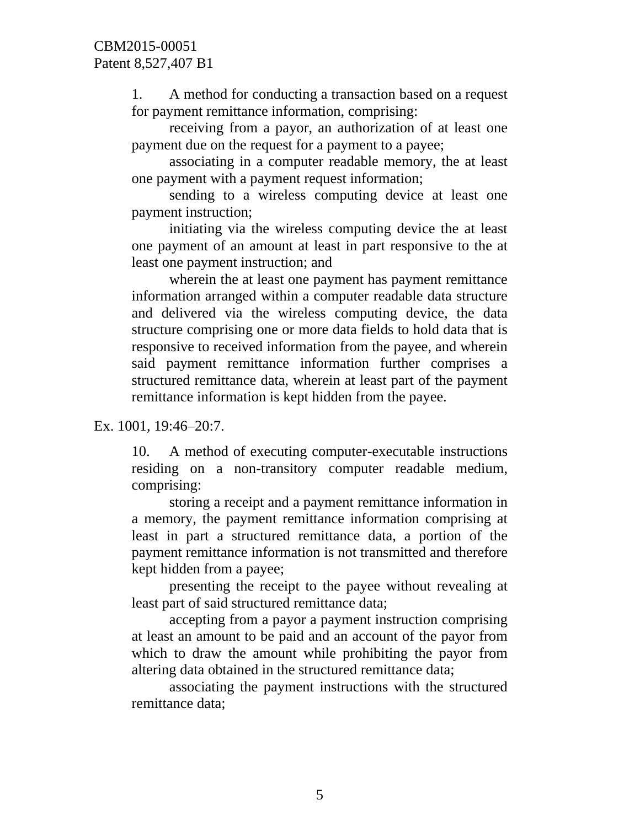1. A method for conducting a transaction based on a request for payment remittance information, comprising:

receiving from a payor, an authorization of at least one payment due on the request for a payment to a payee;

associating in a computer readable memory, the at least one payment with a payment request information;

sending to a wireless computing device at least one payment instruction;

initiating via the wireless computing device the at least one payment of an amount at least in part responsive to the at least one payment instruction; and

wherein the at least one payment has payment remittance information arranged within a computer readable data structure and delivered via the wireless computing device, the data structure comprising one or more data fields to hold data that is responsive to received information from the payee, and wherein said payment remittance information further comprises a structured remittance data, wherein at least part of the payment remittance information is kept hidden from the payee.

Ex. 1001, 19:46–20:7.

10. A method of executing computer-executable instructions residing on a non-transitory computer readable medium, comprising:

storing a receipt and a payment remittance information in a memory, the payment remittance information comprising at least in part a structured remittance data, a portion of the payment remittance information is not transmitted and therefore kept hidden from a payee;

presenting the receipt to the payee without revealing at least part of said structured remittance data;

accepting from a payor a payment instruction comprising at least an amount to be paid and an account of the payor from which to draw the amount while prohibiting the payor from altering data obtained in the structured remittance data;

associating the payment instructions with the structured remittance data;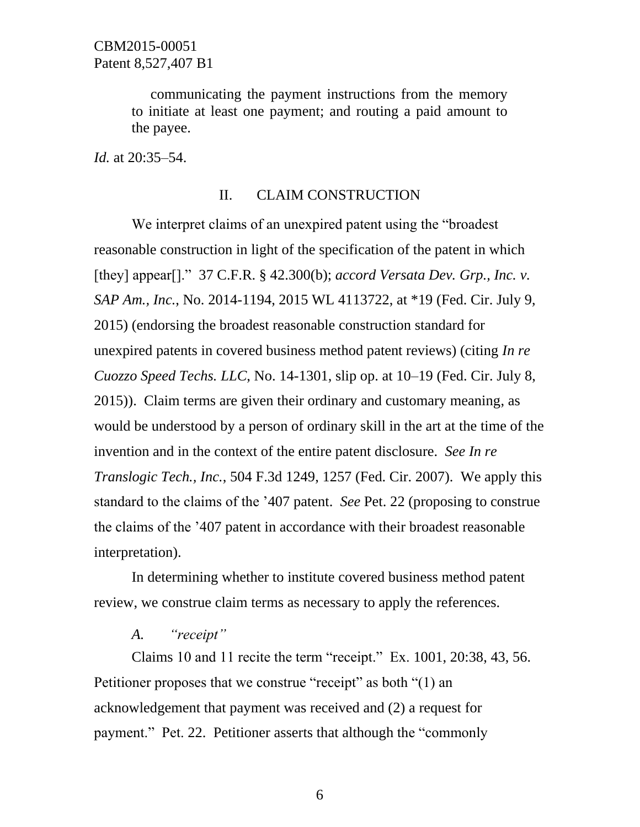communicating the payment instructions from the memory to initiate at least one payment; and routing a paid amount to the payee.

*Id.* at 20:35–54.

### II. CLAIM CONSTRUCTION

We interpret claims of an unexpired patent using the "broadest reasonable construction in light of the specification of the patent in which [they] appear[]." 37 C.F.R. § 42.300(b); *accord Versata Dev. Grp., Inc. v. SAP Am., Inc.*, No. 2014-1194, 2015 WL 4113722, at \*19 (Fed. Cir. July 9, 2015) (endorsing the broadest reasonable construction standard for unexpired patents in covered business method patent reviews) (citing *In re Cuozzo Speed Techs. LLC*, No. 14-1301, slip op. at 10–19 (Fed. Cir. July 8, 2015)). Claim terms are given their ordinary and customary meaning, as would be understood by a person of ordinary skill in the art at the time of the invention and in the context of the entire patent disclosure. *See In re Translogic Tech., Inc.*, 504 F.3d 1249, 1257 (Fed. Cir. 2007). We apply this standard to the claims of the '407 patent. *See* Pet. 22 (proposing to construe the claims of the '407 patent in accordance with their broadest reasonable interpretation).

In determining whether to institute covered business method patent review, we construe claim terms as necessary to apply the references.

### *A. "receipt"*

Claims 10 and 11 recite the term "receipt." Ex. 1001, 20:38, 43, 56. Petitioner proposes that we construe "receipt" as both "(1) an acknowledgement that payment was received and (2) a request for payment." Pet. 22. Petitioner asserts that although the "commonly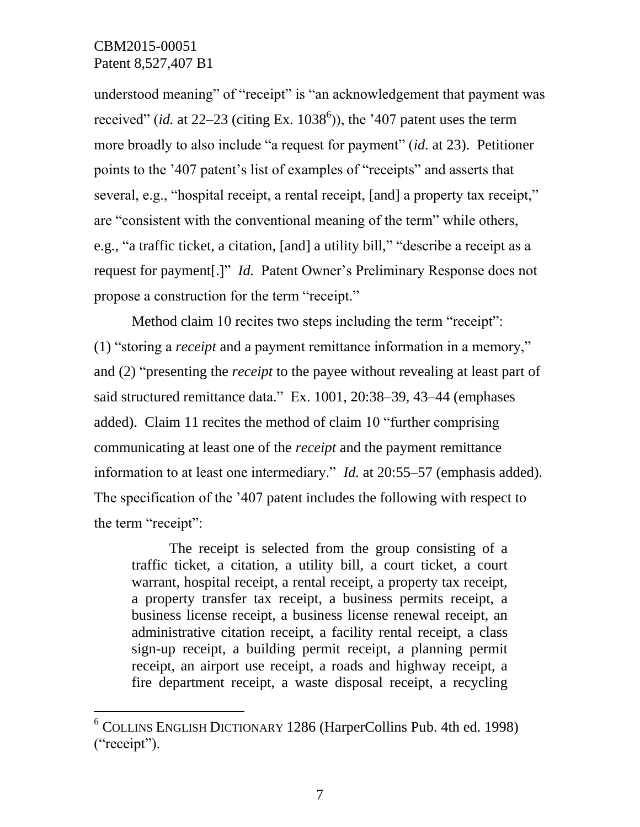$\overline{a}$ 

understood meaning" of "receipt" is "an acknowledgement that payment was received" (*id.* at  $22-23$  (citing Ex. 1038<sup>6</sup>)), the '407 patent uses the term more broadly to also include "a request for payment" (*id.* at 23). Petitioner points to the '407 patent's list of examples of "receipts" and asserts that several, e.g., "hospital receipt, a rental receipt, [and] a property tax receipt," are "consistent with the conventional meaning of the term" while others, e.g., "a traffic ticket, a citation, [and] a utility bill," "describe a receipt as a request for payment[.]" *Id.* Patent Owner's Preliminary Response does not propose a construction for the term "receipt."

Method claim 10 recites two steps including the term "receipt": (1) "storing a *receipt* and a payment remittance information in a memory," and (2) "presenting the *receipt* to the payee without revealing at least part of said structured remittance data." Ex. 1001, 20:38–39, 43–44 (emphases added). Claim 11 recites the method of claim 10 "further comprising communicating at least one of the *receipt* and the payment remittance information to at least one intermediary." *Id.* at 20:55–57 (emphasis added). The specification of the '407 patent includes the following with respect to the term "receipt":

The receipt is selected from the group consisting of a traffic ticket, a citation, a utility bill, a court ticket, a court warrant, hospital receipt, a rental receipt, a property tax receipt, a property transfer tax receipt, a business permits receipt, a business license receipt, a business license renewal receipt, an administrative citation receipt, a facility rental receipt, a class sign-up receipt, a building permit receipt, a planning permit receipt, an airport use receipt, a roads and highway receipt, a fire department receipt, a waste disposal receipt, a recycling

<sup>6</sup> COLLINS ENGLISH DICTIONARY 1286 (HarperCollins Pub. 4th ed. 1998) ("receipt").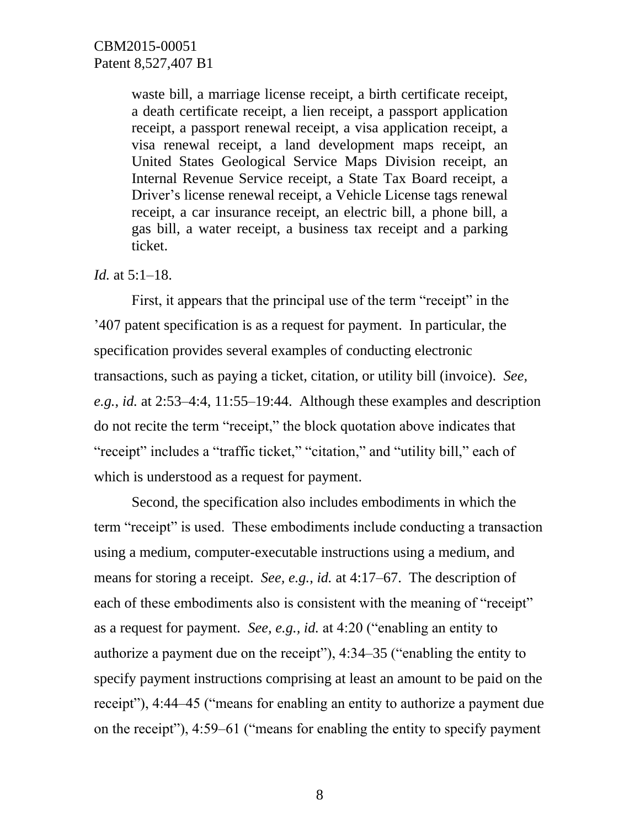waste bill, a marriage license receipt, a birth certificate receipt, a death certificate receipt, a lien receipt, a passport application receipt, a passport renewal receipt, a visa application receipt, a visa renewal receipt, a land development maps receipt, an United States Geological Service Maps Division receipt, an Internal Revenue Service receipt, a State Tax Board receipt, a Driver's license renewal receipt, a Vehicle License tags renewal receipt, a car insurance receipt, an electric bill, a phone bill, a gas bill, a water receipt, a business tax receipt and a parking ticket.

*Id.* at 5:1–18.

First, it appears that the principal use of the term "receipt" in the '407 patent specification is as a request for payment. In particular, the specification provides several examples of conducting electronic transactions, such as paying a ticket, citation, or utility bill (invoice). *See, e.g.*, *id.* at 2:53–4:4, 11:55–19:44. Although these examples and description do not recite the term "receipt," the block quotation above indicates that "receipt" includes a "traffic ticket," "citation," and "utility bill," each of which is understood as a request for payment.

Second, the specification also includes embodiments in which the term "receipt" is used. These embodiments include conducting a transaction using a medium, computer-executable instructions using a medium, and means for storing a receipt. *See, e.g.*, *id.* at 4:17–67. The description of each of these embodiments also is consistent with the meaning of "receipt" as a request for payment. *See, e.g., id.* at 4:20 ("enabling an entity to authorize a payment due on the receipt"), 4:34–35 ("enabling the entity to specify payment instructions comprising at least an amount to be paid on the receipt"), 4:44–45 ("means for enabling an entity to authorize a payment due on the receipt"), 4:59–61 ("means for enabling the entity to specify payment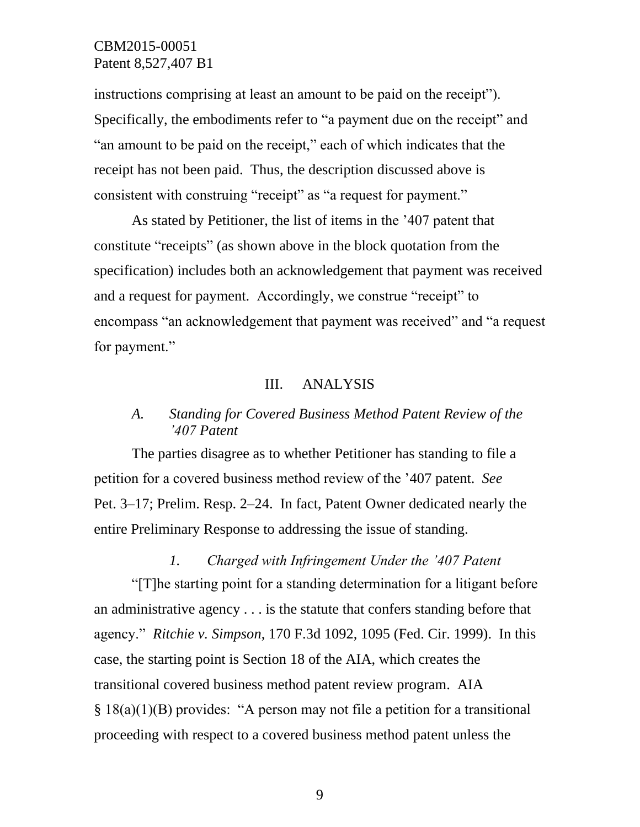instructions comprising at least an amount to be paid on the receipt"). Specifically, the embodiments refer to "a payment due on the receipt" and "an amount to be paid on the receipt," each of which indicates that the receipt has not been paid. Thus, the description discussed above is consistent with construing "receipt" as "a request for payment."

As stated by Petitioner, the list of items in the '407 patent that constitute "receipts" (as shown above in the block quotation from the specification) includes both an acknowledgement that payment was received and a request for payment. Accordingly, we construe "receipt" to encompass "an acknowledgement that payment was received" and "a request for payment."

### III. ANALYSIS

# *A. Standing for Covered Business Method Patent Review of the '407 Patent*

The parties disagree as to whether Petitioner has standing to file a petition for a covered business method review of the '407 patent. *See*  Pet. 3–17; Prelim. Resp. 2–24. In fact, Patent Owner dedicated nearly the entire Preliminary Response to addressing the issue of standing.

*1. Charged with Infringement Under the '407 Patent* "[T]he starting point for a standing determination for a litigant before an administrative agency . . . is the statute that confers standing before that agency." *Ritchie v. Simpson*, 170 F.3d 1092, 1095 (Fed. Cir. 1999). In this case, the starting point is Section 18 of the AIA, which creates the transitional covered business method patent review program. AIA § 18(a)(1)(B) provides: "A person may not file a petition for a transitional proceeding with respect to a covered business method patent unless the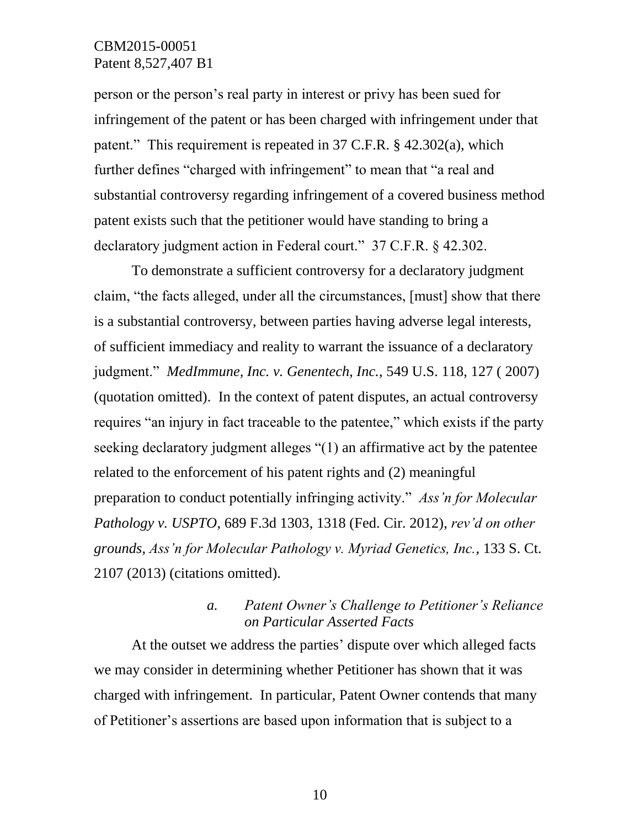person or the person's real party in interest or privy has been sued for infringement of the patent or has been charged with infringement under that patent." This requirement is repeated in 37 C.F.R. § 42.302(a), which further defines "charged with infringement" to mean that "a real and substantial controversy regarding infringement of a covered business method patent exists such that the petitioner would have standing to bring a declaratory judgment action in Federal court." 37 C.F.R. § 42.302.

To demonstrate a sufficient controversy for a declaratory judgment claim, "the facts alleged, under all the circumstances, [must] show that there is a substantial controversy, between parties having adverse legal interests, of sufficient immediacy and reality to warrant the issuance of a declaratory judgment." *MedImmune, Inc. v. Genentech, Inc.*, 549 U.S. 118, 127 ( 2007) (quotation omitted). In the context of patent disputes, an actual controversy requires "an injury in fact traceable to the patentee," which exists if the party seeking declaratory judgment alleges "(1) an affirmative act by the patentee related to the enforcement of his patent rights and (2) meaningful preparation to conduct potentially infringing activity." *Ass'n for Molecular Pathology v. USPTO*, 689 F.3d 1303, 1318 (Fed. Cir. 2012), *rev'd on other grounds*, *Ass'n for Molecular Pathology v. Myriad Genetics, Inc.*, 133 S. Ct. 2107 (2013) (citations omitted).

## *a. Patent Owner's Challenge to Petitioner's Reliance on Particular Asserted Facts*

At the outset we address the parties' dispute over which alleged facts we may consider in determining whether Petitioner has shown that it was charged with infringement. In particular, Patent Owner contends that many of Petitioner's assertions are based upon information that is subject to a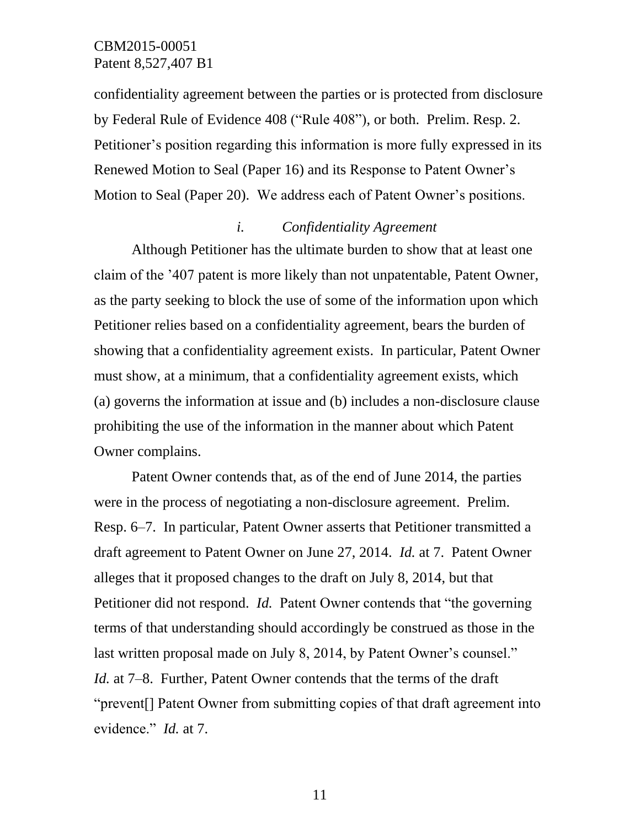confidentiality agreement between the parties or is protected from disclosure by Federal Rule of Evidence 408 ("Rule 408"), or both. Prelim. Resp. 2. Petitioner's position regarding this information is more fully expressed in its Renewed Motion to Seal (Paper 16) and its Response to Patent Owner's Motion to Seal (Paper 20). We address each of Patent Owner's positions.

### *i. Confidentiality Agreement*

Although Petitioner has the ultimate burden to show that at least one claim of the '407 patent is more likely than not unpatentable, Patent Owner, as the party seeking to block the use of some of the information upon which Petitioner relies based on a confidentiality agreement, bears the burden of showing that a confidentiality agreement exists. In particular, Patent Owner must show, at a minimum, that a confidentiality agreement exists, which (a) governs the information at issue and (b) includes a non-disclosure clause prohibiting the use of the information in the manner about which Patent Owner complains.

Patent Owner contends that, as of the end of June 2014, the parties were in the process of negotiating a non-disclosure agreement. Prelim. Resp. 6–7. In particular, Patent Owner asserts that Petitioner transmitted a draft agreement to Patent Owner on June 27, 2014. *Id.* at 7. Patent Owner alleges that it proposed changes to the draft on July 8, 2014, but that Petitioner did not respond. *Id.* Patent Owner contends that "the governing terms of that understanding should accordingly be construed as those in the last written proposal made on July 8, 2014, by Patent Owner's counsel." *Id.* at 7–8. Further, Patent Owner contends that the terms of the draft "prevent[] Patent Owner from submitting copies of that draft agreement into evidence." *Id.* at 7.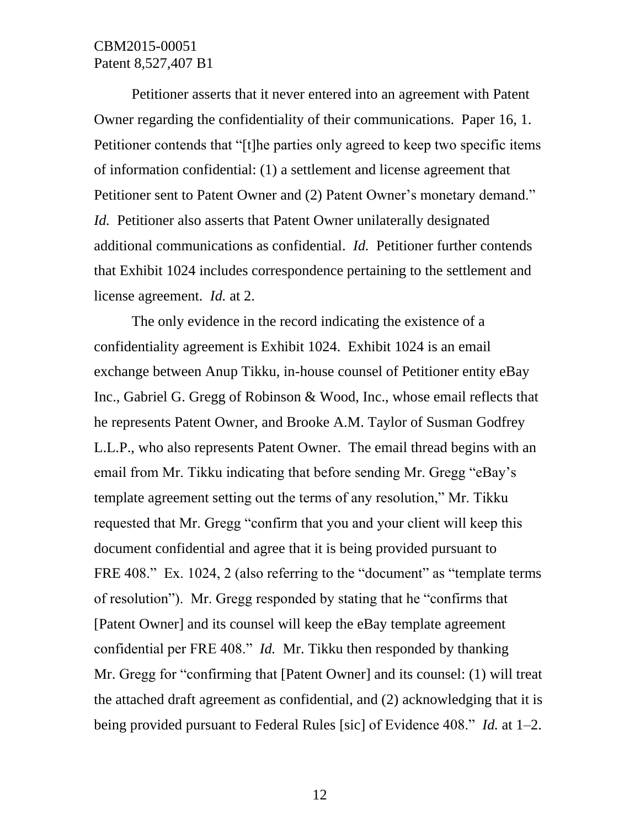Petitioner asserts that it never entered into an agreement with Patent Owner regarding the confidentiality of their communications. Paper 16, 1. Petitioner contends that "[t]he parties only agreed to keep two specific items of information confidential: (1) a settlement and license agreement that Petitioner sent to Patent Owner and (2) Patent Owner's monetary demand." *Id.* Petitioner also asserts that Patent Owner unilaterally designated additional communications as confidential. *Id.* Petitioner further contends that Exhibit 1024 includes correspondence pertaining to the settlement and license agreement. *Id.* at 2.

The only evidence in the record indicating the existence of a confidentiality agreement is Exhibit 1024. Exhibit 1024 is an email exchange between Anup Tikku, in-house counsel of Petitioner entity eBay Inc., Gabriel G. Gregg of Robinson & Wood, Inc., whose email reflects that he represents Patent Owner, and Brooke A.M. Taylor of Susman Godfrey L.L.P., who also represents Patent Owner. The email thread begins with an email from Mr. Tikku indicating that before sending Mr. Gregg "eBay's template agreement setting out the terms of any resolution," Mr. Tikku requested that Mr. Gregg "confirm that you and your client will keep this document confidential and agree that it is being provided pursuant to FRE 408." Ex. 1024, 2 (also referring to the "document" as "template terms" of resolution"). Mr. Gregg responded by stating that he "confirms that [Patent Owner] and its counsel will keep the eBay template agreement confidential per FRE 408." *Id.* Mr. Tikku then responded by thanking Mr. Gregg for "confirming that [Patent Owner] and its counsel: (1) will treat the attached draft agreement as confidential, and (2) acknowledging that it is being provided pursuant to Federal Rules [sic] of Evidence 408." *Id.* at 1–2.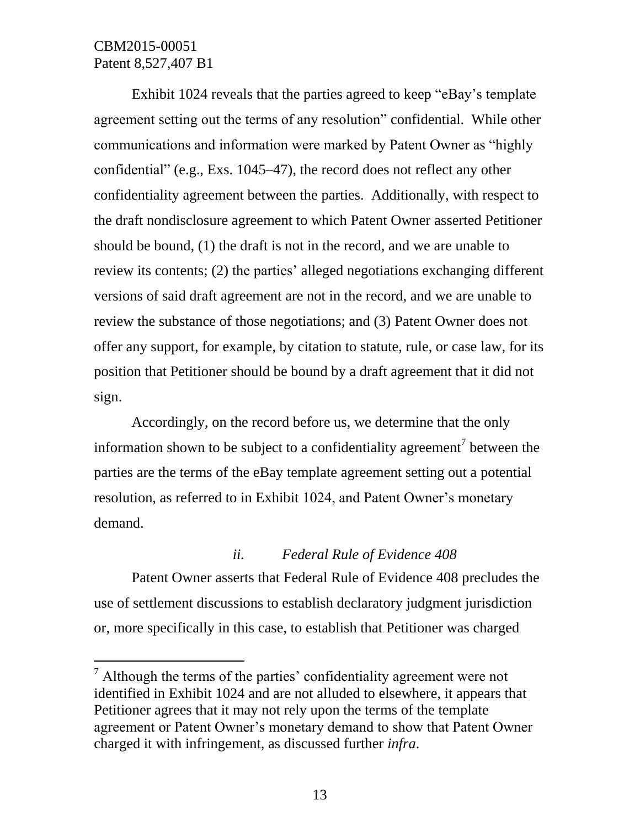l

Exhibit 1024 reveals that the parties agreed to keep "eBay's template agreement setting out the terms of any resolution" confidential. While other communications and information were marked by Patent Owner as "highly confidential" (e.g., Exs. 1045–47), the record does not reflect any other confidentiality agreement between the parties. Additionally, with respect to the draft nondisclosure agreement to which Patent Owner asserted Petitioner should be bound, (1) the draft is not in the record, and we are unable to review its contents; (2) the parties' alleged negotiations exchanging different versions of said draft agreement are not in the record, and we are unable to review the substance of those negotiations; and (3) Patent Owner does not offer any support, for example, by citation to statute, rule, or case law, for its position that Petitioner should be bound by a draft agreement that it did not sign.

Accordingly, on the record before us, we determine that the only information shown to be subject to a confidentiality agreement<sup>7</sup> between the parties are the terms of the eBay template agreement setting out a potential resolution, as referred to in Exhibit 1024, and Patent Owner's monetary demand.

### *ii. Federal Rule of Evidence 408*

Patent Owner asserts that Federal Rule of Evidence 408 precludes the use of settlement discussions to establish declaratory judgment jurisdiction or, more specifically in this case, to establish that Petitioner was charged

 $<sup>7</sup>$  Although the terms of the parties' confidentiality agreement were not</sup> identified in Exhibit 1024 and are not alluded to elsewhere, it appears that Petitioner agrees that it may not rely upon the terms of the template agreement or Patent Owner's monetary demand to show that Patent Owner charged it with infringement, as discussed further *infra*.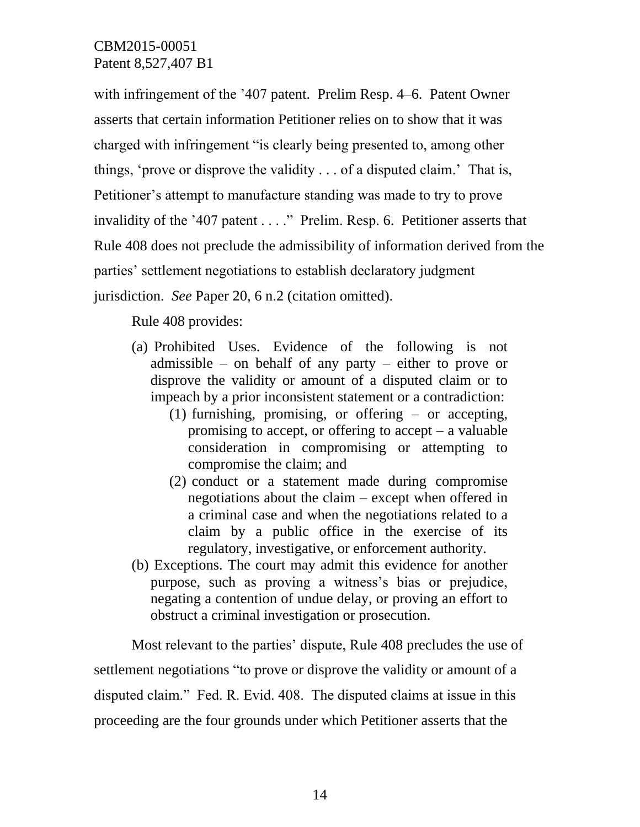with infringement of the '407 patent. Prelim Resp. 4–6. Patent Owner asserts that certain information Petitioner relies on to show that it was charged with infringement "is clearly being presented to, among other things, 'prove or disprove the validity . . . of a disputed claim.' That is, Petitioner's attempt to manufacture standing was made to try to prove invalidity of the '407 patent . . . ." Prelim. Resp. 6. Petitioner asserts that Rule 408 does not preclude the admissibility of information derived from the parties' settlement negotiations to establish declaratory judgment jurisdiction. *See* Paper 20, 6 n.2 (citation omitted).

Rule 408 provides:

- (a) Prohibited Uses. Evidence of the following is not admissible – on behalf of any party – either to prove or disprove the validity or amount of a disputed claim or to impeach by a prior inconsistent statement or a contradiction:
	- (1) furnishing, promising, or offering  $-$  or accepting, promising to accept, or offering to accept – a valuable consideration in compromising or attempting to compromise the claim; and
	- (2) conduct or a statement made during compromise negotiations about the claim – except when offered in a criminal case and when the negotiations related to a claim by a public office in the exercise of its regulatory, investigative, or enforcement authority.
- (b) Exceptions. The court may admit this evidence for another purpose, such as proving a witness's bias or prejudice, negating a contention of undue delay, or proving an effort to obstruct a criminal investigation or prosecution.

Most relevant to the parties' dispute, Rule 408 precludes the use of settlement negotiations "to prove or disprove the validity or amount of a disputed claim." Fed. R. Evid. 408. The disputed claims at issue in this proceeding are the four grounds under which Petitioner asserts that the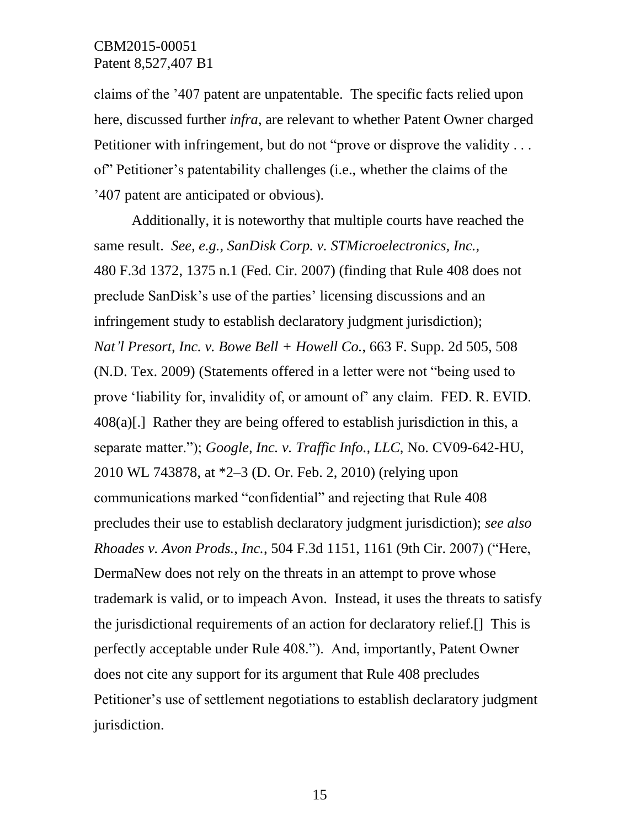claims of the '407 patent are unpatentable. The specific facts relied upon here, discussed further *infra*, are relevant to whether Patent Owner charged Petitioner with infringement, but do not "prove or disprove the validity . . . of" Petitioner's patentability challenges (i.e., whether the claims of the '407 patent are anticipated or obvious).

Additionally, it is noteworthy that multiple courts have reached the same result. *See, e.g.*, *SanDisk Corp. v. STMicroelectronics, Inc.*, 480 F.3d 1372, 1375 n.1 (Fed. Cir. 2007) (finding that Rule 408 does not preclude SanDisk's use of the parties' licensing discussions and an infringement study to establish declaratory judgment jurisdiction); *Nat'l Presort, Inc. v. Bowe Bell + Howell Co.*, 663 F. Supp. 2d 505, 508 (N.D. Tex. 2009) (Statements offered in a letter were not "being used to prove 'liability for, invalidity of, or amount of' any claim. FED. R. EVID.  $408(a)$ [.] Rather they are being offered to establish jurisdiction in this, a separate matter."); *Google, Inc. v. Traffic Info., LLC*, No. CV09-642-HU, 2010 WL 743878, at \*2–3 (D. Or. Feb. 2, 2010) (relying upon communications marked "confidential" and rejecting that Rule 408 precludes their use to establish declaratory judgment jurisdiction); *see also Rhoades v. Avon Prods., Inc.*, 504 F.3d 1151, 1161 (9th Cir. 2007) ("Here, DermaNew does not rely on the threats in an attempt to prove whose trademark is valid, or to impeach Avon. Instead, it uses the threats to satisfy the jurisdictional requirements of an action for declaratory relief.[] This is perfectly acceptable under Rule 408."). And, importantly, Patent Owner does not cite any support for its argument that Rule 408 precludes Petitioner's use of settlement negotiations to establish declaratory judgment jurisdiction.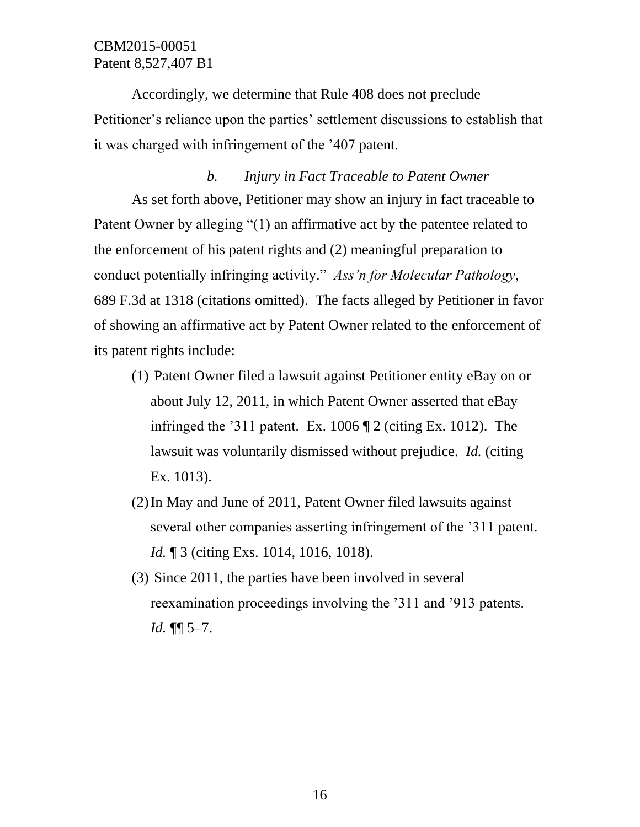Accordingly, we determine that Rule 408 does not preclude Petitioner's reliance upon the parties' settlement discussions to establish that it was charged with infringement of the '407 patent.

### *b. Injury in Fact Traceable to Patent Owner*

As set forth above, Petitioner may show an injury in fact traceable to Patent Owner by alleging "(1) an affirmative act by the patentee related to the enforcement of his patent rights and (2) meaningful preparation to conduct potentially infringing activity." *Ass'n for Molecular Pathology*, 689 F.3d at 1318 (citations omitted). The facts alleged by Petitioner in favor of showing an affirmative act by Patent Owner related to the enforcement of its patent rights include:

- (1) Patent Owner filed a lawsuit against Petitioner entity eBay on or about July 12, 2011, in which Patent Owner asserted that eBay infringed the '311 patent. Ex. 1006 ¶ 2 (citing Ex. 1012). The lawsuit was voluntarily dismissed without prejudice. *Id.* (citing Ex. 1013).
- (2)In May and June of 2011, Patent Owner filed lawsuits against several other companies asserting infringement of the '311 patent. *Id.* ¶ 3 (citing Exs. 1014, 1016, 1018).
- (3) Since 2011, the parties have been involved in several reexamination proceedings involving the '311 and '913 patents. *Id.* ¶¶ 5–7.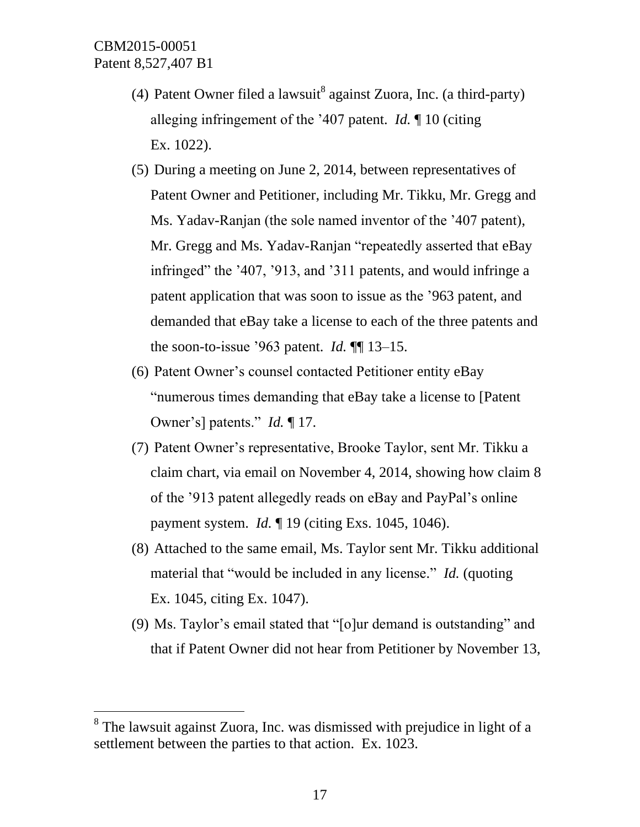$\overline{a}$ 

- (4) Patent Owner filed a lawsuit<sup>8</sup> against Zuora, Inc. (a third-party) alleging infringement of the '407 patent. *Id.* ¶ 10 (citing Ex. 1022).
- (5) During a meeting on June 2, 2014, between representatives of Patent Owner and Petitioner, including Mr. Tikku, Mr. Gregg and Ms. Yadav-Ranjan (the sole named inventor of the '407 patent), Mr. Gregg and Ms. Yadav-Ranjan "repeatedly asserted that eBay infringed" the '407, '913, and '311 patents, and would infringe a patent application that was soon to issue as the '963 patent, and demanded that eBay take a license to each of the three patents and the soon-to-issue '963 patent. *Id.* ¶¶ 13–15.
- (6) Patent Owner's counsel contacted Petitioner entity eBay "numerous times demanding that eBay take a license to [Patent Owner's] patents." *Id.* ¶ 17.
- (7) Patent Owner's representative, Brooke Taylor, sent Mr. Tikku a claim chart, via email on November 4, 2014, showing how claim 8 of the '913 patent allegedly reads on eBay and PayPal's online payment system. *Id.* ¶ 19 (citing Exs. 1045, 1046).
- (8) Attached to the same email, Ms. Taylor sent Mr. Tikku additional material that "would be included in any license." *Id.* (quoting Ex. 1045, citing Ex. 1047).
- (9) Ms. Taylor's email stated that "[o]ur demand is outstanding" and that if Patent Owner did not hear from Petitioner by November 13,

<sup>&</sup>lt;sup>8</sup> The lawsuit against Zuora, Inc. was dismissed with prejudice in light of a settlement between the parties to that action. Ex. 1023.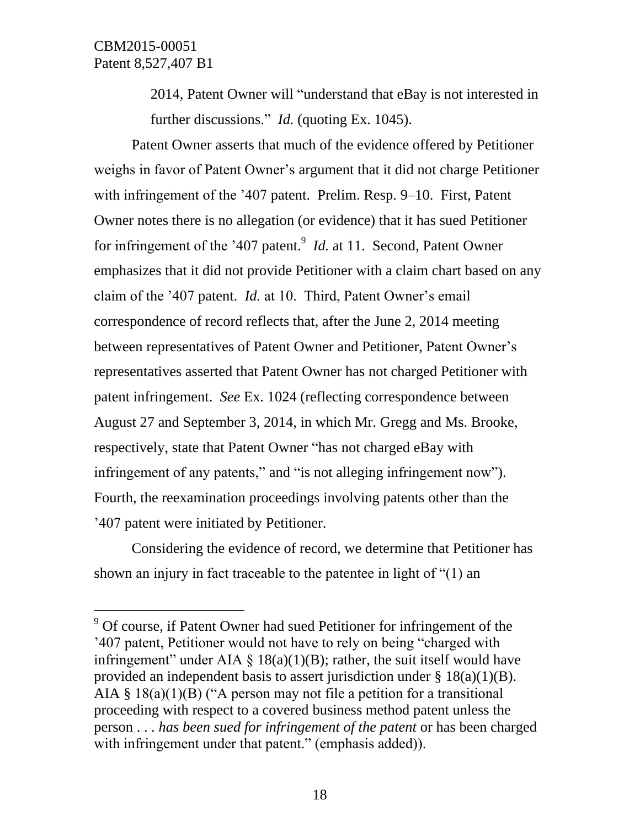$\overline{a}$ 

2014, Patent Owner will "understand that eBay is not interested in further discussions." *Id.* (quoting Ex. 1045).

Patent Owner asserts that much of the evidence offered by Petitioner weighs in favor of Patent Owner's argument that it did not charge Petitioner with infringement of the '407 patent. Prelim. Resp. 9–10. First, Patent Owner notes there is no allegation (or evidence) that it has sued Petitioner for infringement of the '407 patent.<sup>9</sup> *Id.* at 11. Second, Patent Owner emphasizes that it did not provide Petitioner with a claim chart based on any claim of the '407 patent. *Id.* at 10. Third, Patent Owner's email correspondence of record reflects that, after the June 2, 2014 meeting between representatives of Patent Owner and Petitioner, Patent Owner's representatives asserted that Patent Owner has not charged Petitioner with patent infringement. *See* Ex. 1024 (reflecting correspondence between August 27 and September 3, 2014, in which Mr. Gregg and Ms. Brooke, respectively, state that Patent Owner "has not charged eBay with infringement of any patents," and "is not alleging infringement now"). Fourth, the reexamination proceedings involving patents other than the '407 patent were initiated by Petitioner.

Considering the evidence of record, we determine that Petitioner has shown an injury in fact traceable to the patentee in light of "(1) an

 $9^9$  Of course, if Patent Owner had sued Petitioner for infringement of the '407 patent, Petitioner would not have to rely on being "charged with infringement" under AIA  $\S$  18(a)(1)(B); rather, the suit itself would have provided an independent basis to assert jurisdiction under  $\S$  18(a)(1)(B). AIA  $\S$  18(a)(1)(B) ("A person may not file a petition for a transitional proceeding with respect to a covered business method patent unless the person . . . *has been sued for infringement of the patent* or has been charged with infringement under that patent." (emphasis added)).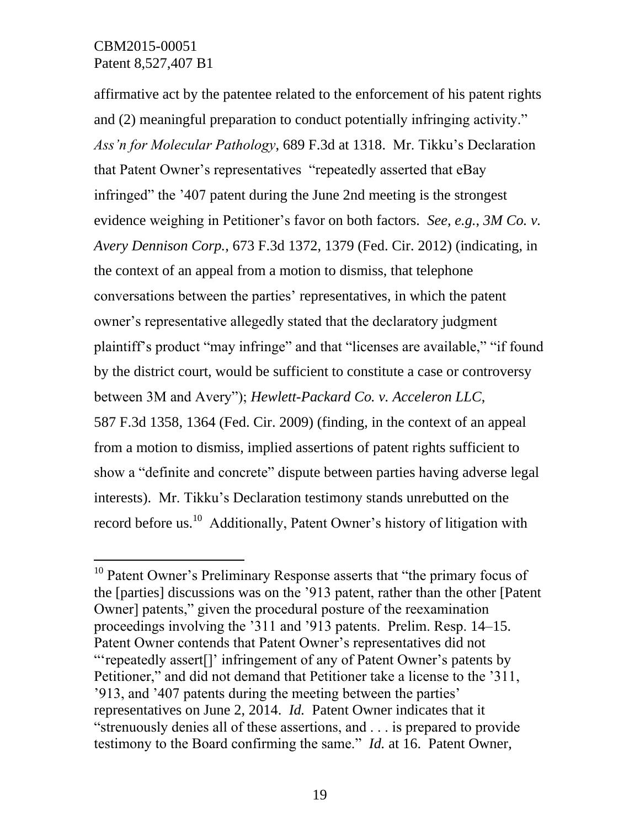$\overline{a}$ 

affirmative act by the patentee related to the enforcement of his patent rights and (2) meaningful preparation to conduct potentially infringing activity." *Ass'n for Molecular Pathology*, 689 F.3d at 1318. Mr. Tikku's Declaration that Patent Owner's representatives "repeatedly asserted that eBay infringed" the '407 patent during the June 2nd meeting is the strongest evidence weighing in Petitioner's favor on both factors. *See, e.g.*, *3M Co. v. Avery Dennison Corp.*, 673 F.3d 1372, 1379 (Fed. Cir. 2012) (indicating, in the context of an appeal from a motion to dismiss, that telephone conversations between the parties' representatives, in which the patent owner's representative allegedly stated that the declaratory judgment plaintiff's product "may infringe" and that "licenses are available," "if found by the district court, would be sufficient to constitute a case or controversy between 3M and Avery"); *Hewlett-Packard Co. v. Acceleron LLC*, 587 F.3d 1358, 1364 (Fed. Cir. 2009) (finding, in the context of an appeal from a motion to dismiss, implied assertions of patent rights sufficient to show a "definite and concrete" dispute between parties having adverse legal interests). Mr. Tikku's Declaration testimony stands unrebutted on the record before us.<sup>10</sup> Additionally, Patent Owner's history of litigation with

 $10$  Patent Owner's Preliminary Response asserts that "the primary focus of the [parties] discussions was on the '913 patent, rather than the other [Patent Owner] patents," given the procedural posture of the reexamination proceedings involving the '311 and '913 patents. Prelim. Resp. 14–15. Patent Owner contends that Patent Owner's representatives did not "'repeatedly assert[]' infringement of any of Patent Owner's patents by Petitioner," and did not demand that Petitioner take a license to the '311, '913, and '407 patents during the meeting between the parties' representatives on June 2, 2014. *Id.* Patent Owner indicates that it "strenuously denies all of these assertions, and . . . is prepared to provide testimony to the Board confirming the same." *Id.* at 16. Patent Owner,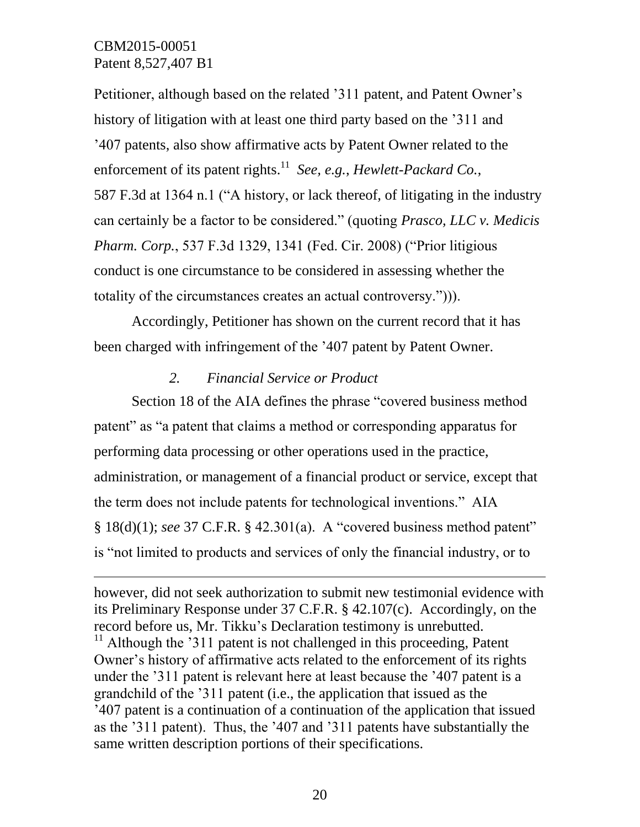$\overline{a}$ 

Petitioner, although based on the related '311 patent, and Patent Owner's history of litigation with at least one third party based on the '311 and '407 patents, also show affirmative acts by Patent Owner related to the enforcement of its patent rights. 11 *See, e.g.*, *Hewlett-Packard Co.*, 587 F.3d at 1364 n.1 ("A history, or lack thereof, of litigating in the industry can certainly be a factor to be considered." (quoting *Prasco, LLC v. Medicis Pharm. Corp.*, 537 F.3d 1329, 1341 (Fed. Cir. 2008) ("Prior litigious conduct is one circumstance to be considered in assessing whether the totality of the circumstances creates an actual controversy."))).

Accordingly, Petitioner has shown on the current record that it has been charged with infringement of the '407 patent by Patent Owner.

### *2. Financial Service or Product*

Section 18 of the AIA defines the phrase "covered business method patent" as "a patent that claims a method or corresponding apparatus for performing data processing or other operations used in the practice, administration, or management of a financial product or service, except that the term does not include patents for technological inventions." AIA § 18(d)(1); *see* 37 C.F.R. § 42.301(a). A "covered business method patent" is "not limited to products and services of only the financial industry, or to

however, did not seek authorization to submit new testimonial evidence with its Preliminary Response under 37 C.F.R. § 42.107(c). Accordingly, on the record before us, Mr. Tikku's Declaration testimony is unrebutted.  $11$  Although the '311 patent is not challenged in this proceeding, Patent Owner's history of affirmative acts related to the enforcement of its rights under the '311 patent is relevant here at least because the '407 patent is a grandchild of the '311 patent (i.e., the application that issued as the '407 patent is a continuation of a continuation of the application that issued as the '311 patent). Thus, the '407 and '311 patents have substantially the same written description portions of their specifications.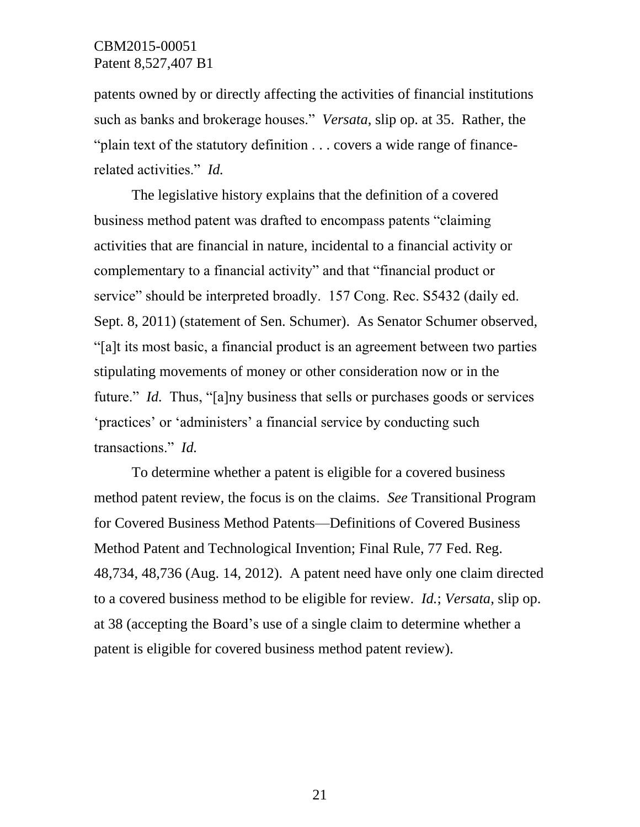patents owned by or directly affecting the activities of financial institutions such as banks and brokerage houses." *Versata*, slip op. at 35. Rather, the "plain text of the statutory definition . . . covers a wide range of financerelated activities." *Id.*

The legislative history explains that the definition of a covered business method patent was drafted to encompass patents "claiming activities that are financial in nature, incidental to a financial activity or complementary to a financial activity" and that "financial product or service" should be interpreted broadly. 157 Cong. Rec. S5432 (daily ed. Sept. 8, 2011) (statement of Sen. Schumer). As Senator Schumer observed, "[a]t its most basic, a financial product is an agreement between two parties stipulating movements of money or other consideration now or in the future." *Id.* Thus, "[a]ny business that sells or purchases goods or services 'practices' or 'administers' a financial service by conducting such transactions." *Id.*

To determine whether a patent is eligible for a covered business method patent review, the focus is on the claims. *See* Transitional Program for Covered Business Method Patents—Definitions of Covered Business Method Patent and Technological Invention; Final Rule, 77 Fed. Reg. 48,734, 48,736 (Aug. 14, 2012). A patent need have only one claim directed to a covered business method to be eligible for review. *Id.*; *Versata*, slip op. at 38 (accepting the Board's use of a single claim to determine whether a patent is eligible for covered business method patent review).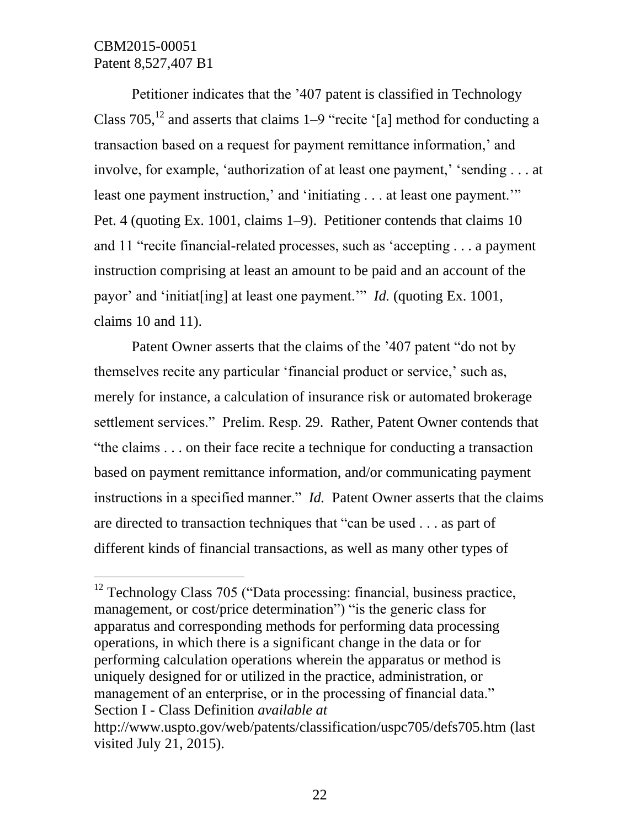$\overline{a}$ 

Petitioner indicates that the '407 patent is classified in Technology Class  $705$ ,  $^{12}$  and asserts that claims 1–9 "recite '[a] method for conducting a transaction based on a request for payment remittance information,' and involve, for example, 'authorization of at least one payment,' 'sending . . . at least one payment instruction,' and 'initiating . . . at least one payment.'" Pet. 4 (quoting Ex. 1001, claims 1–9). Petitioner contends that claims 10 and 11 "recite financial-related processes, such as 'accepting . . . a payment instruction comprising at least an amount to be paid and an account of the payor' and 'initiat[ing] at least one payment.'" *Id.* (quoting Ex. 1001, claims 10 and 11).

Patent Owner asserts that the claims of the '407 patent "do not by themselves recite any particular 'financial product or service,' such as, merely for instance, a calculation of insurance risk or automated brokerage settlement services." Prelim. Resp. 29. Rather, Patent Owner contends that "the claims . . . on their face recite a technique for conducting a transaction based on payment remittance information, and/or communicating payment instructions in a specified manner." *Id.* Patent Owner asserts that the claims are directed to transaction techniques that "can be used . . . as part of different kinds of financial transactions, as well as many other types of

 $12$  Technology Class 705 ("Data processing: financial, business practice, management, or cost/price determination") "is the generic class for apparatus and corresponding methods for performing data processing operations, in which there is a significant change in the data or for performing calculation operations wherein the apparatus or method is uniquely designed for or utilized in the practice, administration, or management of an enterprise, or in the processing of financial data." Section I - Class Definition *available at*  http://www.uspto.gov/web/patents/classification/uspc705/defs705.htm (last visited July 21, 2015).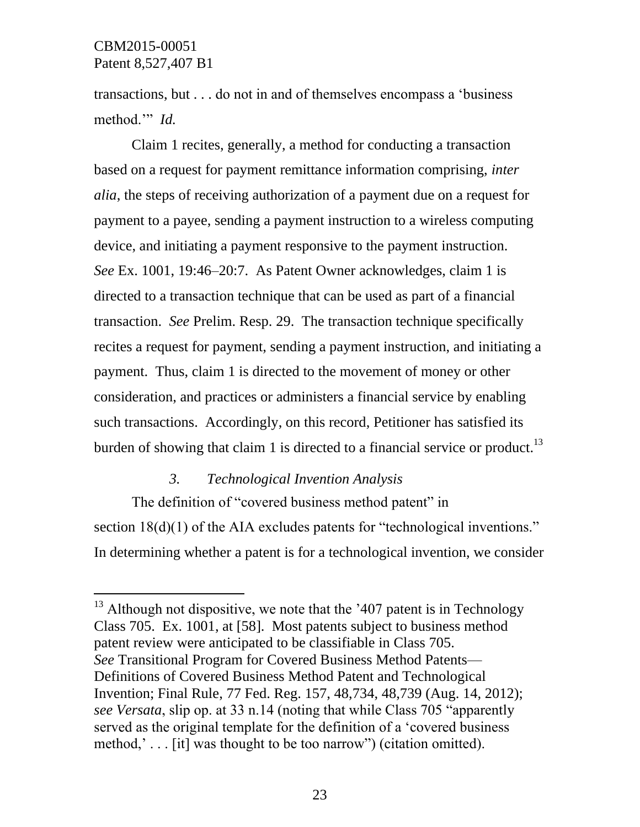$\overline{a}$ 

transactions, but . . . do not in and of themselves encompass a 'business method.'" *Id.*

Claim 1 recites, generally, a method for conducting a transaction based on a request for payment remittance information comprising, *inter alia*, the steps of receiving authorization of a payment due on a request for payment to a payee, sending a payment instruction to a wireless computing device, and initiating a payment responsive to the payment instruction. *See* Ex. 1001, 19:46–20:7. As Patent Owner acknowledges, claim 1 is directed to a transaction technique that can be used as part of a financial transaction. *See* Prelim. Resp. 29. The transaction technique specifically recites a request for payment, sending a payment instruction, and initiating a payment. Thus, claim 1 is directed to the movement of money or other consideration, and practices or administers a financial service by enabling such transactions. Accordingly, on this record, Petitioner has satisfied its burden of showing that claim 1 is directed to a financial service or product.<sup>13</sup>

### *3. Technological Invention Analysis*

The definition of "covered business method patent" in section 18(d)(1) of the AIA excludes patents for "technological inventions." In determining whether a patent is for a technological invention, we consider

 $13$  Although not dispositive, we note that the '407 patent is in Technology Class 705. Ex. 1001, at [58]. Most patents subject to business method patent review were anticipated to be classifiable in Class 705. *See* Transitional Program for Covered Business Method Patents— Definitions of Covered Business Method Patent and Technological Invention; Final Rule, 77 Fed. Reg. 157, 48,734, 48,739 (Aug. 14, 2012); *see Versata*, slip op. at 33 n.14 (noting that while Class 705 "apparently served as the original template for the definition of a 'covered business method,' . . . [it] was thought to be too narrow") (citation omitted).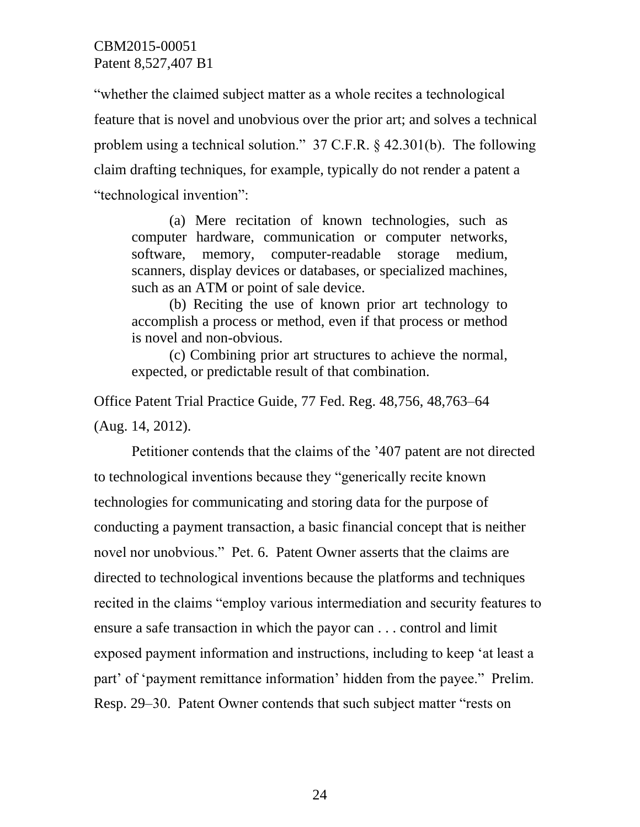"whether the claimed subject matter as a whole recites a technological feature that is novel and unobvious over the prior art; and solves a technical problem using a technical solution." 37 C.F.R. § 42.301(b). The following claim drafting techniques, for example, typically do not render a patent a "technological invention":

(a) Mere recitation of known technologies, such as computer hardware, communication or computer networks, software, memory, computer-readable storage medium, scanners, display devices or databases, or specialized machines, such as an ATM or point of sale device.

(b) Reciting the use of known prior art technology to accomplish a process or method, even if that process or method is novel and non-obvious.

(c) Combining prior art structures to achieve the normal, expected, or predictable result of that combination.

Office Patent Trial Practice Guide, 77 Fed. Reg. 48,756, 48,763–64 (Aug. 14, 2012).

Petitioner contends that the claims of the '407 patent are not directed to technological inventions because they "generically recite known technologies for communicating and storing data for the purpose of conducting a payment transaction, a basic financial concept that is neither novel nor unobvious." Pet. 6. Patent Owner asserts that the claims are directed to technological inventions because the platforms and techniques recited in the claims "employ various intermediation and security features to ensure a safe transaction in which the payor can . . . control and limit exposed payment information and instructions, including to keep 'at least a part' of 'payment remittance information' hidden from the payee." Prelim. Resp. 29–30. Patent Owner contends that such subject matter "rests on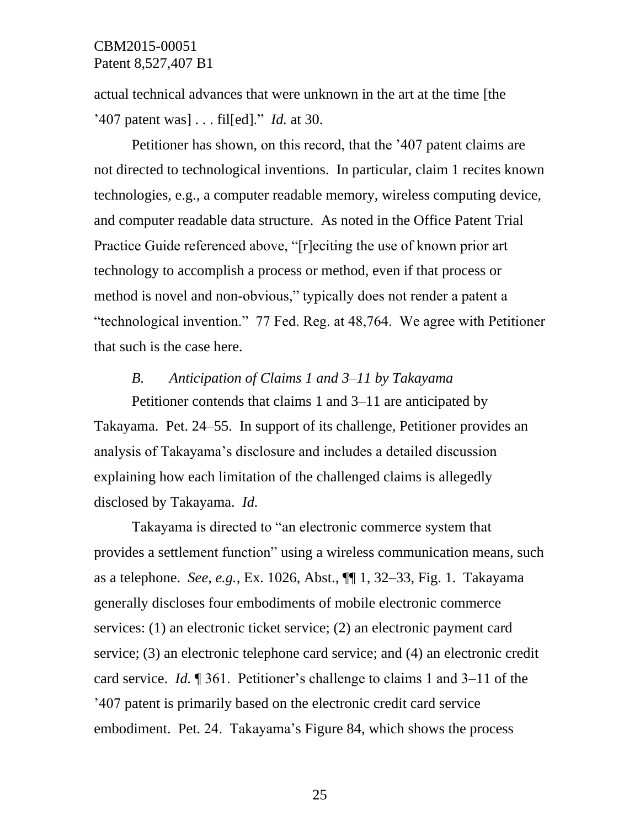actual technical advances that were unknown in the art at the time [the '407 patent was] . . . fil[ed]." *Id.* at 30.

Petitioner has shown, on this record, that the '407 patent claims are not directed to technological inventions. In particular, claim 1 recites known technologies, e.g., a computer readable memory, wireless computing device, and computer readable data structure. As noted in the Office Patent Trial Practice Guide referenced above, "[r]eciting the use of known prior art technology to accomplish a process or method, even if that process or method is novel and non-obvious," typically does not render a patent a "technological invention." 77 Fed. Reg. at 48,764. We agree with Petitioner that such is the case here.

### *B. Anticipation of Claims 1 and 3–11 by Takayama*

Petitioner contends that claims 1 and 3–11 are anticipated by Takayama. Pet. 24–55. In support of its challenge, Petitioner provides an analysis of Takayama's disclosure and includes a detailed discussion explaining how each limitation of the challenged claims is allegedly disclosed by Takayama. *Id.*

Takayama is directed to "an electronic commerce system that provides a settlement function" using a wireless communication means, such as a telephone. *See, e.g.*, Ex. 1026, Abst., ¶¶ 1, 32–33, Fig. 1. Takayama generally discloses four embodiments of mobile electronic commerce services: (1) an electronic ticket service; (2) an electronic payment card service; (3) an electronic telephone card service; and (4) an electronic credit card service. *Id.* ¶ 361. Petitioner's challenge to claims 1 and 3–11 of the '407 patent is primarily based on the electronic credit card service embodiment. Pet. 24. Takayama's Figure 84, which shows the process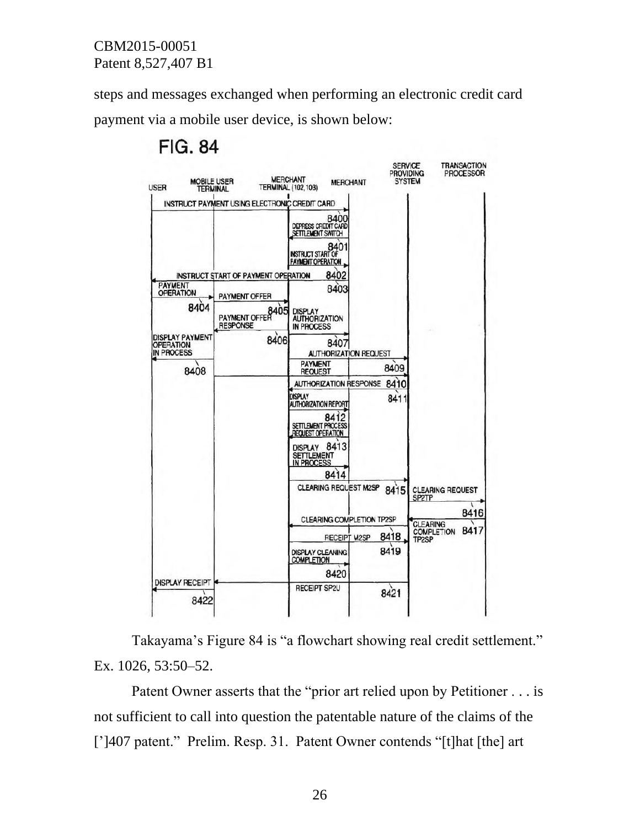steps and messages exchanged when performing an electronic credit card payment via a mobile user device, is shown below:





Takayama's Figure 84 is "a flowchart showing real credit settlement." Ex. 1026, 53:50–52.

Patent Owner asserts that the "prior art relied upon by Petitioner . . . is not sufficient to call into question the patentable nature of the claims of the [']407 patent." Prelim. Resp. 31. Patent Owner contends "[t]hat [the] art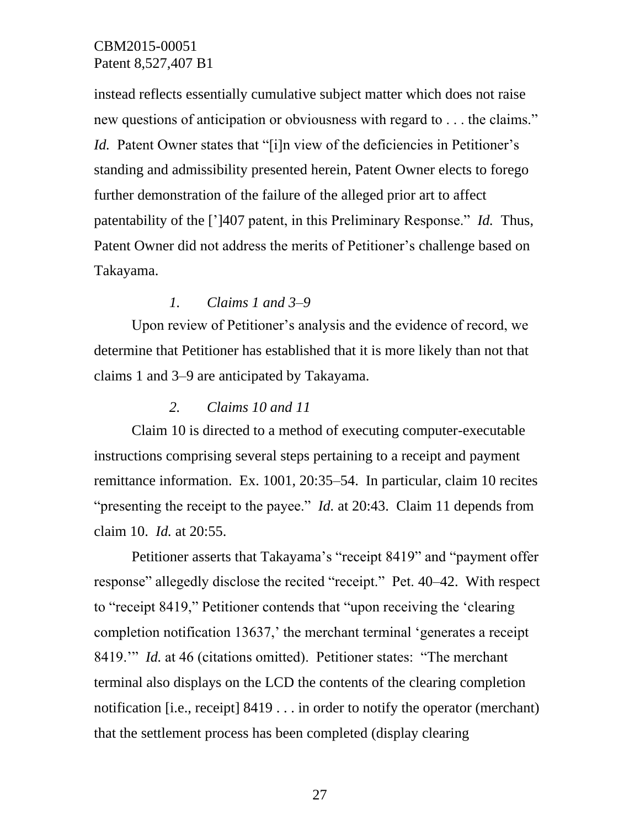instead reflects essentially cumulative subject matter which does not raise new questions of anticipation or obviousness with regard to . . . the claims." *Id.* Patent Owner states that "[i]n view of the deficiencies in Petitioner's standing and admissibility presented herein, Patent Owner elects to forego further demonstration of the failure of the alleged prior art to affect patentability of the [']407 patent, in this Preliminary Response." *Id.* Thus, Patent Owner did not address the merits of Petitioner's challenge based on Takayama.

### *1. Claims 1 and 3–9*

Upon review of Petitioner's analysis and the evidence of record, we determine that Petitioner has established that it is more likely than not that claims 1 and 3–9 are anticipated by Takayama.

### *2. Claims 10 and 11*

Claim 10 is directed to a method of executing computer-executable instructions comprising several steps pertaining to a receipt and payment remittance information. Ex. 1001, 20:35–54. In particular, claim 10 recites "presenting the receipt to the payee." *Id.* at 20:43. Claim 11 depends from claim 10. *Id.* at 20:55.

Petitioner asserts that Takayama's "receipt 8419" and "payment offer response" allegedly disclose the recited "receipt." Pet. 40–42. With respect to "receipt 8419," Petitioner contends that "upon receiving the 'clearing completion notification 13637,' the merchant terminal 'generates a receipt 8419.'" *Id.* at 46 (citations omitted). Petitioner states: "The merchant terminal also displays on the LCD the contents of the clearing completion notification [i.e., receipt] 8419 . . . in order to notify the operator (merchant) that the settlement process has been completed (display clearing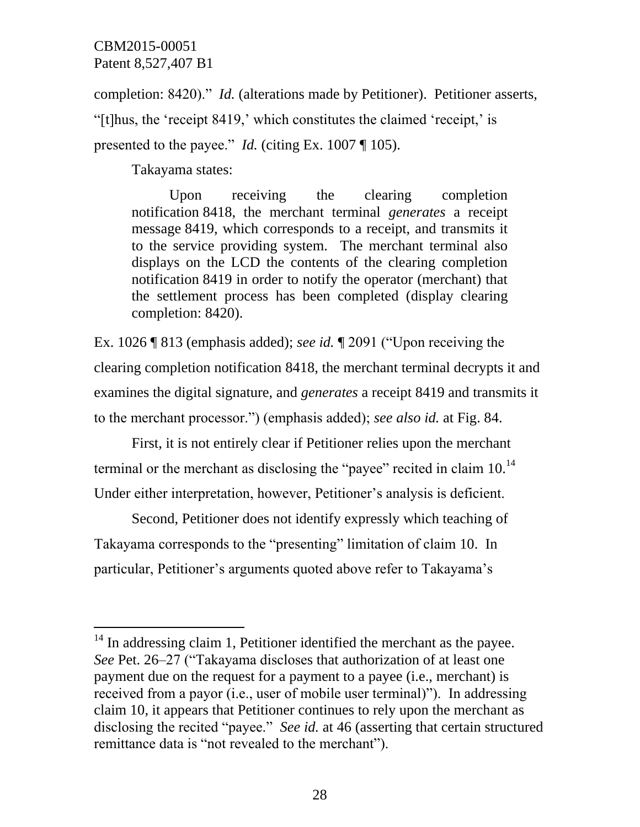$\overline{a}$ 

completion: 8420)." *Id.* (alterations made by Petitioner). Petitioner asserts, "[t]hus, the 'receipt 8419,' which constitutes the claimed 'receipt,' is presented to the payee." *Id.* (citing Ex. 1007 ¶ 105).

Takayama states:

Upon receiving the clearing completion notification 8418, the merchant terminal *generates* a receipt message 8419, which corresponds to a receipt, and transmits it to the service providing system. The merchant terminal also displays on the LCD the contents of the clearing completion notification 8419 in order to notify the operator (merchant) that the settlement process has been completed (display clearing completion: 8420).

Ex. 1026 ¶ 813 (emphasis added); *see id.* ¶ 2091 ("Upon receiving the clearing completion notification 8418, the merchant terminal decrypts it and examines the digital signature, and *generates* a receipt 8419 and transmits it to the merchant processor.") (emphasis added); *see also id.* at Fig. 84.

First, it is not entirely clear if Petitioner relies upon the merchant terminal or the merchant as disclosing the "payee" recited in claim  $10<sup>14</sup>$ Under either interpretation, however, Petitioner's analysis is deficient.

Second, Petitioner does not identify expressly which teaching of Takayama corresponds to the "presenting" limitation of claim 10. In particular, Petitioner's arguments quoted above refer to Takayama's

 $14$  In addressing claim 1, Petitioner identified the merchant as the payee. *See* Pet. 26–27 ("Takayama discloses that authorization of at least one payment due on the request for a payment to a payee (i.e., merchant) is received from a payor (i.e., user of mobile user terminal)"). In addressing claim 10, it appears that Petitioner continues to rely upon the merchant as disclosing the recited "payee." *See id.* at 46 (asserting that certain structured remittance data is "not revealed to the merchant").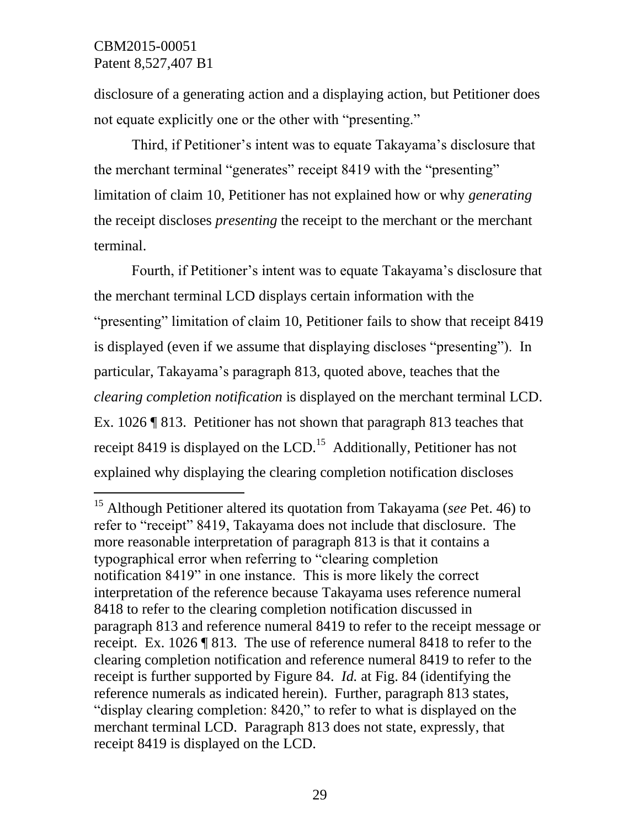$\overline{a}$ 

disclosure of a generating action and a displaying action, but Petitioner does not equate explicitly one or the other with "presenting."

Third, if Petitioner's intent was to equate Takayama's disclosure that the merchant terminal "generates" receipt 8419 with the "presenting" limitation of claim 10, Petitioner has not explained how or why *generating* the receipt discloses *presenting* the receipt to the merchant or the merchant terminal.

Fourth, if Petitioner's intent was to equate Takayama's disclosure that the merchant terminal LCD displays certain information with the "presenting" limitation of claim 10, Petitioner fails to show that receipt 8419 is displayed (even if we assume that displaying discloses "presenting"). In particular, Takayama's paragraph 813, quoted above, teaches that the *clearing completion notification* is displayed on the merchant terminal LCD. Ex. 1026 ¶ 813. Petitioner has not shown that paragraph 813 teaches that receipt 8419 is displayed on the LCD.<sup>15</sup> Additionally, Petitioner has not explained why displaying the clearing completion notification discloses

<sup>15</sup> Although Petitioner altered its quotation from Takayama (*see* Pet. 46) to refer to "receipt" 8419, Takayama does not include that disclosure. The more reasonable interpretation of paragraph 813 is that it contains a typographical error when referring to "clearing completion notification 8419" in one instance. This is more likely the correct interpretation of the reference because Takayama uses reference numeral 8418 to refer to the clearing completion notification discussed in paragraph 813 and reference numeral 8419 to refer to the receipt message or receipt. Ex. 1026 ¶ 813. The use of reference numeral 8418 to refer to the clearing completion notification and reference numeral 8419 to refer to the receipt is further supported by Figure 84. *Id.* at Fig. 84 (identifying the reference numerals as indicated herein). Further, paragraph 813 states, "display clearing completion: 8420," to refer to what is displayed on the merchant terminal LCD. Paragraph 813 does not state, expressly, that receipt 8419 is displayed on the LCD.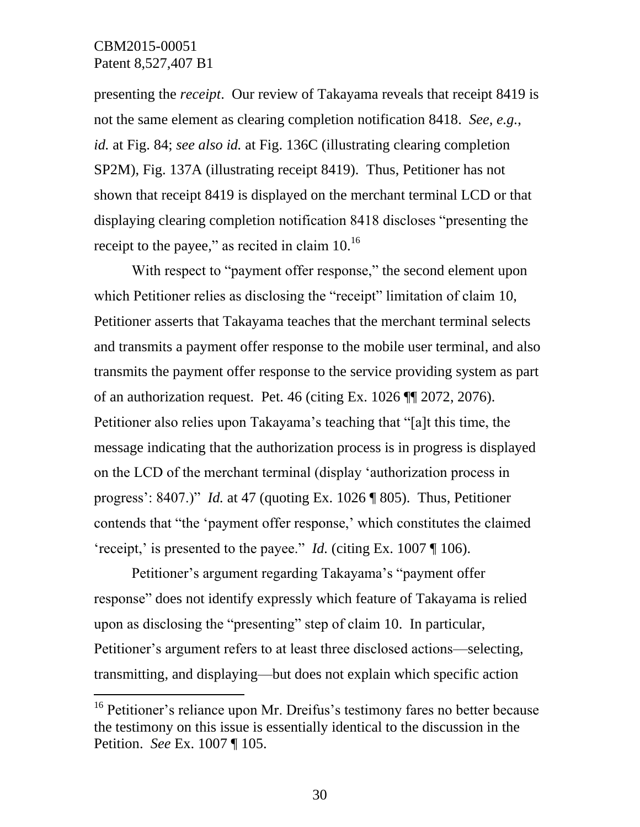l

presenting the *receipt*. Our review of Takayama reveals that receipt 8419 is not the same element as clearing completion notification 8418. *See, e.g.*, *id.* at Fig. 84; *see also id.* at Fig. 136C (illustrating clearing completion SP2M), Fig. 137A (illustrating receipt 8419). Thus, Petitioner has not shown that receipt 8419 is displayed on the merchant terminal LCD or that displaying clearing completion notification 8418 discloses "presenting the receipt to the payee," as recited in claim 10.<sup>16</sup>

With respect to "payment offer response," the second element upon which Petitioner relies as disclosing the "receipt" limitation of claim 10, Petitioner asserts that Takayama teaches that the merchant terminal selects and transmits a payment offer response to the mobile user terminal, and also transmits the payment offer response to the service providing system as part of an authorization request. Pet. 46 (citing Ex. 1026 ¶¶ 2072, 2076). Petitioner also relies upon Takayama's teaching that "[a]t this time, the message indicating that the authorization process is in progress is displayed on the LCD of the merchant terminal (display 'authorization process in progress': 8407.)" *Id.* at 47 (quoting Ex. 1026 ¶ 805). Thus, Petitioner contends that "the 'payment offer response,' which constitutes the claimed 'receipt,' is presented to the payee." *Id.* (citing Ex. 1007 ¶ 106).

Petitioner's argument regarding Takayama's "payment offer response" does not identify expressly which feature of Takayama is relied upon as disclosing the "presenting" step of claim 10. In particular, Petitioner's argument refers to at least three disclosed actions—selecting, transmitting, and displaying—but does not explain which specific action

<sup>&</sup>lt;sup>16</sup> Petitioner's reliance upon Mr. Dreifus's testimony fares no better because the testimony on this issue is essentially identical to the discussion in the Petition. *See* Ex. 1007 ¶ 105.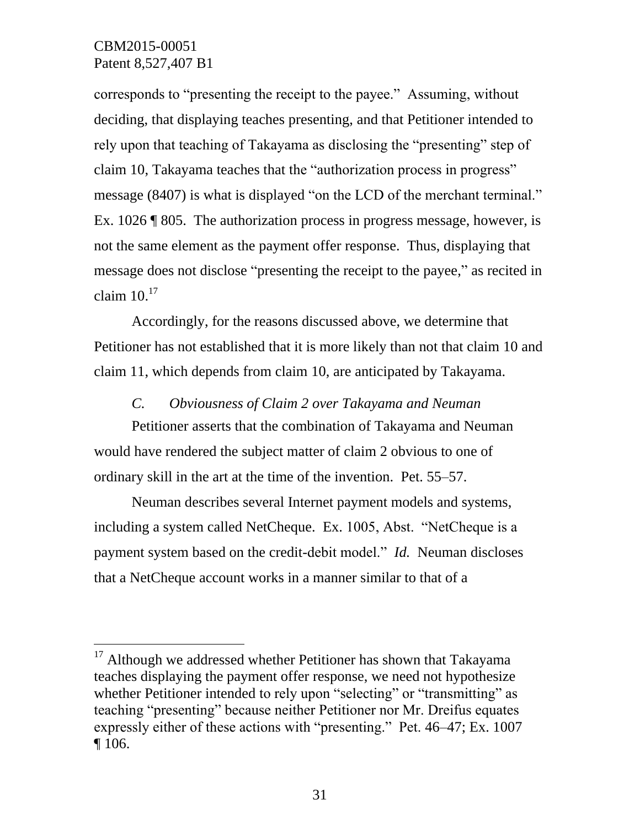$\overline{a}$ 

corresponds to "presenting the receipt to the payee." Assuming, without deciding, that displaying teaches presenting, and that Petitioner intended to rely upon that teaching of Takayama as disclosing the "presenting" step of claim 10, Takayama teaches that the "authorization process in progress" message (8407) is what is displayed "on the LCD of the merchant terminal." Ex. 1026 ¶ 805. The authorization process in progress message, however, is not the same element as the payment offer response. Thus, displaying that message does not disclose "presenting the receipt to the payee," as recited in claim  $10<sup>17</sup>$ 

Accordingly, for the reasons discussed above, we determine that Petitioner has not established that it is more likely than not that claim 10 and claim 11, which depends from claim 10, are anticipated by Takayama.

*C. Obviousness of Claim 2 over Takayama and Neuman*

Petitioner asserts that the combination of Takayama and Neuman would have rendered the subject matter of claim 2 obvious to one of ordinary skill in the art at the time of the invention. Pet. 55–57.

Neuman describes several Internet payment models and systems, including a system called NetCheque. Ex. 1005, Abst. "NetCheque is a payment system based on the credit-debit model." *Id.* Neuman discloses that a NetCheque account works in a manner similar to that of a

 $17$  Although we addressed whether Petitioner has shown that Takayama teaches displaying the payment offer response, we need not hypothesize whether Petitioner intended to rely upon "selecting" or "transmitting" as teaching "presenting" because neither Petitioner nor Mr. Dreifus equates expressly either of these actions with "presenting." Pet. 46–47; Ex. 1007 ¶ 106.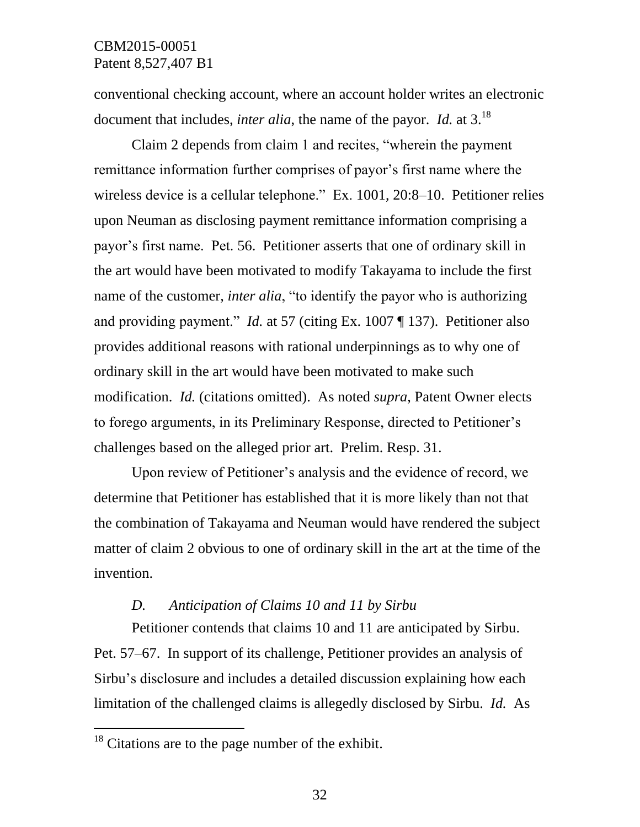conventional checking account, where an account holder writes an electronic document that includes, *inter alia*, the name of the payor. *Id.* at 3.<sup>18</sup>

Claim 2 depends from claim 1 and recites, "wherein the payment remittance information further comprises of payor's first name where the wireless device is a cellular telephone." Ex. 1001, 20:8–10. Petitioner relies upon Neuman as disclosing payment remittance information comprising a payor's first name. Pet. 56. Petitioner asserts that one of ordinary skill in the art would have been motivated to modify Takayama to include the first name of the customer, *inter alia*, "to identify the payor who is authorizing and providing payment." *Id.* at 57 (citing Ex. 1007 ¶ 137). Petitioner also provides additional reasons with rational underpinnings as to why one of ordinary skill in the art would have been motivated to make such modification. *Id.* (citations omitted). As noted *supra*, Patent Owner elects to forego arguments, in its Preliminary Response, directed to Petitioner's challenges based on the alleged prior art. Prelim. Resp. 31.

Upon review of Petitioner's analysis and the evidence of record, we determine that Petitioner has established that it is more likely than not that the combination of Takayama and Neuman would have rendered the subject matter of claim 2 obvious to one of ordinary skill in the art at the time of the invention.

### *D. Anticipation of Claims 10 and 11 by Sirbu*

Petitioner contends that claims 10 and 11 are anticipated by Sirbu. Pet. 57–67. In support of its challenge, Petitioner provides an analysis of Sirbu's disclosure and includes a detailed discussion explaining how each limitation of the challenged claims is allegedly disclosed by Sirbu. *Id.* As

 $\overline{a}$ 

<sup>&</sup>lt;sup>18</sup> Citations are to the page number of the exhibit.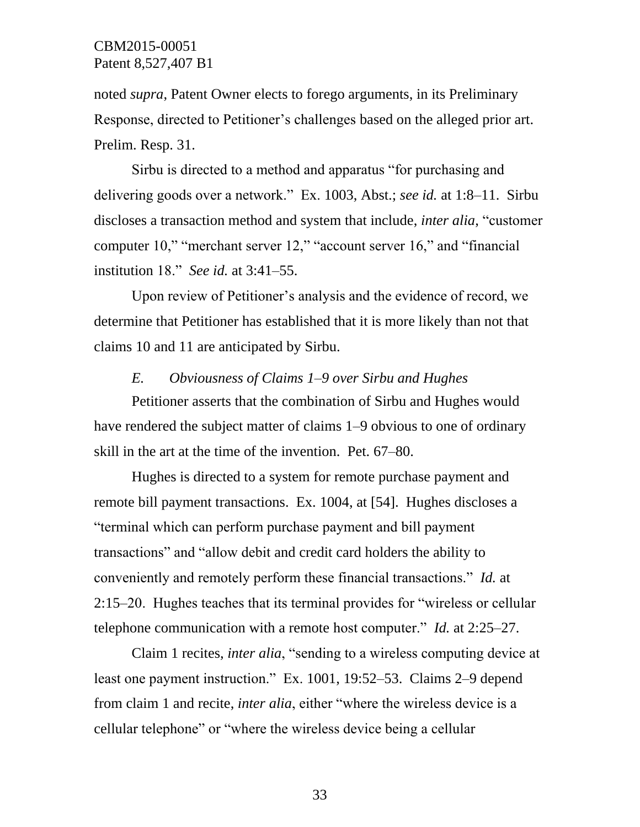noted *supra*, Patent Owner elects to forego arguments, in its Preliminary Response, directed to Petitioner's challenges based on the alleged prior art. Prelim. Resp. 31.

Sirbu is directed to a method and apparatus "for purchasing and delivering goods over a network." Ex. 1003, Abst.; *see id.* at 1:8–11. Sirbu discloses a transaction method and system that include, *inter alia*, "customer computer 10," "merchant server 12," "account server 16," and "financial institution 18." *See id.* at 3:41–55.

Upon review of Petitioner's analysis and the evidence of record, we determine that Petitioner has established that it is more likely than not that claims 10 and 11 are anticipated by Sirbu.

### *E. Obviousness of Claims 1–9 over Sirbu and Hughes*

Petitioner asserts that the combination of Sirbu and Hughes would have rendered the subject matter of claims 1–9 obvious to one of ordinary skill in the art at the time of the invention. Pet. 67–80.

Hughes is directed to a system for remote purchase payment and remote bill payment transactions. Ex. 1004, at [54]. Hughes discloses a "terminal which can perform purchase payment and bill payment transactions" and "allow debit and credit card holders the ability to conveniently and remotely perform these financial transactions." *Id.* at 2:15–20. Hughes teaches that its terminal provides for "wireless or cellular telephone communication with a remote host computer." *Id.* at 2:25–27.

Claim 1 recites, *inter alia*, "sending to a wireless computing device at least one payment instruction." Ex. 1001, 19:52–53. Claims 2–9 depend from claim 1 and recite, *inter alia*, either "where the wireless device is a cellular telephone" or "where the wireless device being a cellular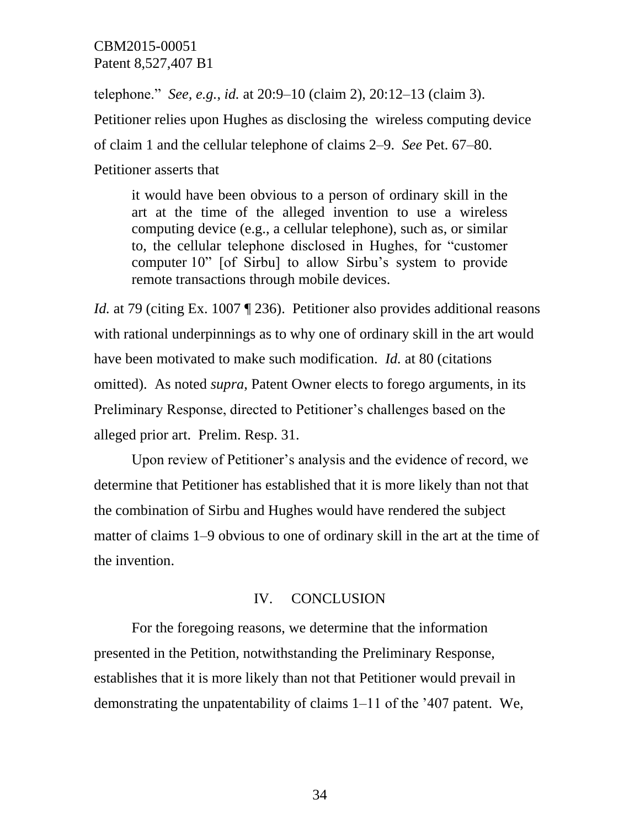telephone." *See, e.g.*, *id.* at 20:9–10 (claim 2), 20:12–13 (claim 3). Petitioner relies upon Hughes as disclosing the wireless computing device of claim 1 and the cellular telephone of claims 2–9. *See* Pet. 67–80. Petitioner asserts that

it would have been obvious to a person of ordinary skill in the art at the time of the alleged invention to use a wireless computing device (e.g., a cellular telephone), such as, or similar to, the cellular telephone disclosed in Hughes, for "customer computer 10" [of Sirbu] to allow Sirbu's system to provide remote transactions through mobile devices.

*Id.* at 79 (citing Ex. 1007 ¶ 236). Petitioner also provides additional reasons with rational underpinnings as to why one of ordinary skill in the art would have been motivated to make such modification. *Id.* at 80 (citations omitted). As noted *supra*, Patent Owner elects to forego arguments, in its Preliminary Response, directed to Petitioner's challenges based on the alleged prior art. Prelim. Resp. 31.

Upon review of Petitioner's analysis and the evidence of record, we determine that Petitioner has established that it is more likely than not that the combination of Sirbu and Hughes would have rendered the subject matter of claims 1–9 obvious to one of ordinary skill in the art at the time of the invention.

### IV. CONCLUSION

For the foregoing reasons, we determine that the information presented in the Petition, notwithstanding the Preliminary Response, establishes that it is more likely than not that Petitioner would prevail in demonstrating the unpatentability of claims 1–11 of the '407 patent. We,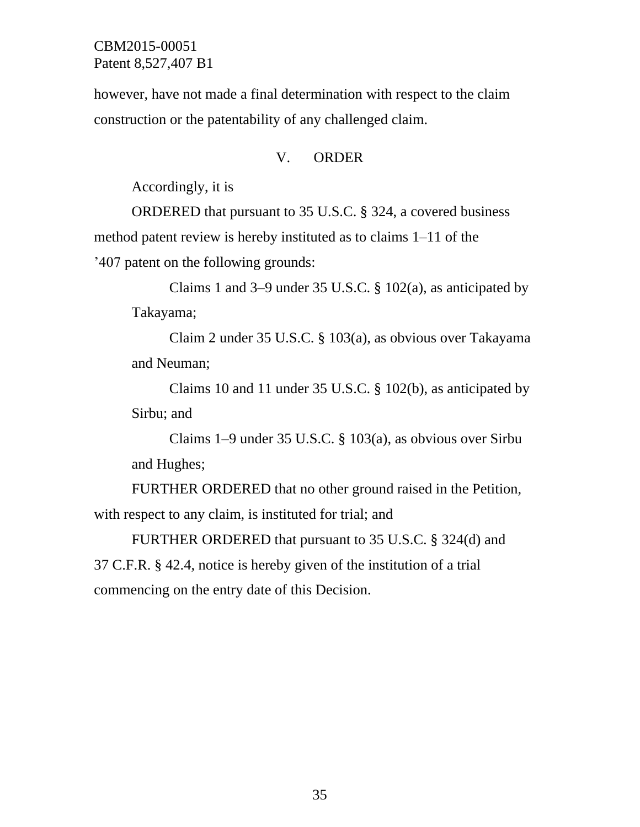however, have not made a final determination with respect to the claim construction or the patentability of any challenged claim.

### V. ORDER

Accordingly, it is

ORDERED that pursuant to 35 U.S.C. § 324, a covered business method patent review is hereby instituted as to claims 1–11 of the '407 patent on the following grounds:

Claims 1 and 3–9 under 35 U.S.C. § 102(a), as anticipated by Takayama;

Claim 2 under 35 U.S.C. § 103(a), as obvious over Takayama and Neuman;

Claims 10 and 11 under 35 U.S.C. § 102(b), as anticipated by Sirbu; and

Claims 1–9 under 35 U.S.C. § 103(a), as obvious over Sirbu and Hughes;

FURTHER ORDERED that no other ground raised in the Petition, with respect to any claim, is instituted for trial; and

FURTHER ORDERED that pursuant to 35 U.S.C. § 324(d) and 37 C.F.R. § 42.4, notice is hereby given of the institution of a trial commencing on the entry date of this Decision.